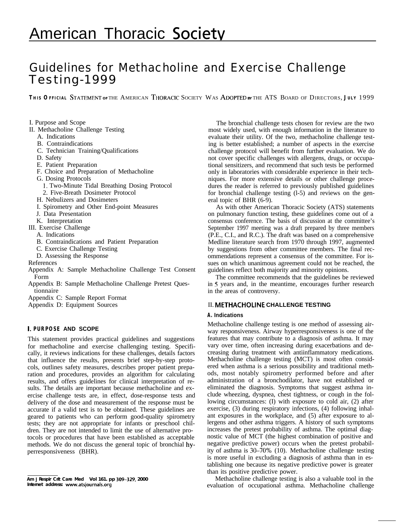# Guidelines for Methacholine and Exercise Challenge Testing-1999

**THIS OFFICIAL STA.TEMENT OF** THE AMERICAN THORACIC SOCIETY WAS ADORED **BY** THE ATS BOARD OF DIRECTORS, **JULY** 1999

I. Purpose and Scope

- II. Methacholine Challenge Testing
	- A. Indications
	- B. Contraindications
	- C. Technician Training/Qualifications
	- D. Safety
	- E. Patient Preparation
	- F. Choice and Preparation of Methacholine
	- G. Dosing Protocols
		- 1. Two-Minute Tidal Breathing Dosing Protocol
	- 2. Five-Breath Dosimeter Protocol
	- H. Nebulizers and Dosimeters
	- I. Spirometry and Other End-point Measures
	- J. Data Presentation
	- K. Interpretation
- III. Exercise Challenge
	- A. Indications
	- B. Contraindications and Patient Preparation
	- C. Exercise Challenge Testing
	- D. Assessing the Response
- References
- Appendix A: Sample Methacholine Challenge Test Consent Form
- Appendix B: Sample Methacholine Challenge Pretest Questionnaire
- Appendix C: Sample Report Format
- Appendix D: Equipment Sources

# I. **PURPOSE AND SCOPE**

This statement provides practical guidelines and suggestions for methacholine and exercise challenging testing. Specifically, it reviews indications for these challenges, details factors that influence the results, presents brief step-by-step protocols, outlines safety measures, describes proper patient preparation and procedures, provides an algorithm for calculating results, and offers guidelines for clinical interpretation of results. The details are important because methacholine and exercise challenge tests are, in effect, dose-response tests and delivery of the dose and measurement of the response must be accurate if a valid test is to be obtained. These guidelines are geared to patients who can perform good-quality spirometry tests; they are not appropriate for infants or preschool children. They are not intended to limit the use of alternative protocols or procedures that have been established as acceptable methods. We do not discuss the general topic of bronchial hyperresponsiveness (BHR).

The bronchial challenge tests chosen for review are the two most widely used, with enough information in the literature to evaluate their utility. Of the two, methacholine challenge testing is better established; a number of aspects in the exercise challenge protocol will benefit from further evaluation. We do not cover specific challenges with allergens, drugs, or occupational sensitizers, and recommend that such tests be performed only in laboratories with considerable experience in their techniques. For more extensive details or other challenge procedures the reader is referred to previously published guidelines for bronchial challenge testing (l-5) and reviews on the general topic of BHR (6-9).

As with other American Thoracic Society (ATS) statements on pulmonary function testing, these guidelines come out of a consensus conference. The basis of discussion at the committee's September 1997 meeting was a draft prepared by three members (P.E., C.I., and R.C.). The draft was based on a comprehensive Medline literature search from 1970 through 1997, augmented by suggestions from other committee members. The final recommendations represent a consensus of the committee. For issues on which unanimous agreement could not be reached, the guidelines reflect both majority and minority opinions.

The committee recommends that the guidelines be reviewed in 5 years and, in the meantime, encourages further research in the areas of controversy.

# II. **METHACHOLINE CHALLENGE TESTING**

# **A. Indications**

Methacholine challenge testing is one method of assessing airway responsiveness. Airway hyperresponsiveness is one of the features that may contribute to a diagnosis of asthma. It may vary over time, often increasing during exacerbations and decreasing during treatment with antiinflammatory medications. Methacholine challenge testing (MCT) is most often considered when asthma is a serious possibility and traditional methods, most notably spirometry performed before and after administration of a bronchodilator, have not established or eliminated the diagnosis. Symptoms that suggest asthma include wheezing, dyspnea, chest tightness, or cough in the following circumstances: (I) with exposure to cold air, (2) after exercise, (3) during respiratory infections, (4) following inhalant exposures in the workplace, and (5) after exposure to allergens and other asthma triggers. A history of such symptoms increases the pretest probability of asthma. The optimal diagnostic value of MCT (the highest combination of positive and negative predictive power) occurs when the pretest probability of asthma is 30-70% (10). Methacholine challenge testing is more useful in excluding a diagnosis of asthma than in establishing one because its negative predictive power is greater than its positive predictive power.

Methacholine challenge testing is also a valuable tool in the evaluation of occupational asthma. Methacholine challenge

**Am** J **Respir Crit Care Med Vol 161. pp 309-329, 2000 Internet address: www.atsjournals.org**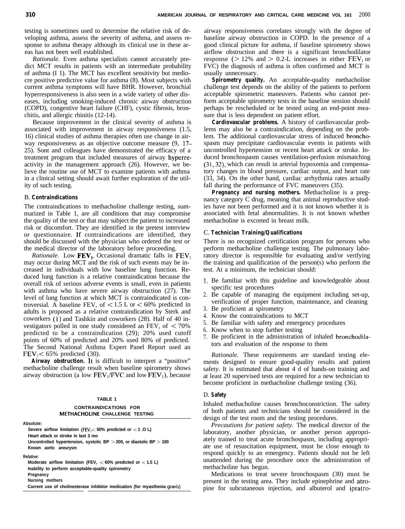testing is sometimes used to determine the relative risk of developing asthma, assess the severity of asthma, and assess response to asthma therapy although its clinical use in these areas has not been well established.

*Rationale.* Even asthma specialists cannot accurately predict MCT results in patients with an intermediate probability of asthma (I 1). The MCT has excellent sensitivity but mediocre positive predictive value for asthma (8). Most subjects with current asthma symptoms will have BHR. However, bronchial hyperresponsiveness is also seen in a wide variety of other diseases, including smoking-induced chronic airway obstruction (COPD), congestive heart failure (CHF), cystic fibrosis, bronchitis, and allergic rhinitis (12-14).

Because improvement in the clinical severity of asthma is associated with improvement in airway responsiveness (1.5, 16) clinical studies of asthma therapies often use change in airway responsiveness as an objective outcome measure (9, 17- 25). Sont and colleagues have demonstrated the efficacy of a treatment program that included measures of airway hyperreactivity in the management approach (26). However, we believe the routine use of MCT to examine patients with asthma in a clinical setting should await further exploration of the utility of such testing.

# B. **Contraindications**

The contraindications to methacholine challenge testing, summarized in Table 1, are all conditions that may compromise the quality of the test or that may subject the patient to increased risk or discomfort. They are identified in the pretest interview or questionnaire. If contraindications are identified, they should be discussed with the physician who ordered the test or the medical director of the laboratory before proceeding.

*Rationale.* Low  $FEV_1$ . Occasional dramatic falls in  $FEV_1$ may occur during MCT and the risk of such events may be increased in individuals with low baseline lung function. Reduced lung function is a relative contraindication because the overall risk of serious adverse events is small, even in patients with asthma who have severe airway obstruction (27). The level of lung function at which MCT is contraindicated is controversial. A baseline FEV, of  $\lt 1.5$  L or  $\lt 60\%$  predicted in adults is proposed as a relative contraindication by Sterk and coworkers (I) and Tashkin and coworkers (28). Half of 40 investigators polled in one study considered an FEV, of < 70% predicted to be a contraindication (29); 20% used cutoff points of 60% of predicted and 20% used 80% of predicted. The Second National Asthma Expert Panel Report used an  $FEV<sub>1</sub> < 65%$  predicted (30).

Airway obstruction. It is difficult to interpret a "positive" methacholine challenge result when baseline spirometry shows airway obstruction (a low  $FEV<sub>1</sub>/FVC$  and low  $FEV<sub>1</sub>$ ), because

#### **TABLE 1**

## **CONTRAINDICATIONS FOR METHACHOLINE CHALLENGE TESTING**

**Absolute:**

- **Severe airflow limitation (FEV, < 50% predicted or < 1 .O L) Heart attack or stroke in last 3 mo**
- **Uncontrolled hypertension, systolic BP > 200, or diastolic BP > 100 Known aortic aneurysm**
- **Relative:**

**Moderate airflow limitation (FEV, < 60% predicted or < 1.5 L)**

**Inability to perform acceptable-quality spirometry Pregnancy**

**Nursing mothers**

**Current use of cholinesterase inhibitor medication (for myasthenia gravis)**

airway responsiveness correlates strongly with the degree of baseline airway obstruction in COPD. In the presence of a good clinical picture for asthma, if baseline spirometry shows airflow obstruction and there is a significant bronchodilator response ( $> 12\%$  and  $> 0.2$ -L increases in either  $FEV<sub>1</sub>$  or FVC) the diagnosis of asthma is often confirmed and MCT is usually unnecessary.

**Spirometry quality.** An acceptable-quality methacholine challenge test depends on the ability of the patients to perform acceptable spirometric maneuvers. Patients who cannot perform acceptable spirometry tests in the baseline session should perhaps be rescheduled or be tested using an end-point measure that is less dependent on patient effort.

**Cardiovascular problems.** A history of cardiovascular problems may also be a contraindication, depending on the problem. The additional cardiovascular stress of induced bronchospasm may precipitate cardiovascular events in patients with uncontrolled hypertension or recent heart attack or stroke. Induced bronchospasm causes ventilation-perfusion mismatching (31,32), which can result in arterial hypoxemia and compensatory changes in blood pressure, cardiac output, and heart rate (33, 34). On the other hand, cardiac arrhythmia rates actually fall during the performance of FVC maneuvers (35).

**Pregnancy and nursing mothers.** Methacholine is a pregnancy category C drug, meaning that animal reproductive studies have not been performed and it is not known whether it is associated with fetal abnormalities. It is not known whether methacholine is excreted in breast milk.

## C. **Technician Training/Qualifications**

There is no recognized certification program for persons who perform methacholine challenge testing. The pulmonary laboratory director is responsible for evaluating and/or verifying the training and qualification of the person(s) who perform the test. At a minimum, the technician should:

- 1. Be familiar with this guideline and knowledgeable about specific test procedures
- 2. Be capable of managing the equipment including set-up, verification of proper function, maintenance, and cleaning
- 3. Be proficient at spirometry
- 4. Know the contraindications to MCT
- 5. Be familiar with safety and emergency procedures
- 6. Know when to stop further testing
- 7. Be proficient in the administration of inhaled bronchodilators and evaluation of the response to them

*Rationale.* These requirements are standard testing elements designed to ensure good-quality results and patient safety. It is estimated that about 4 d of hands-on training and at least 20 supervised tests are required for a new technician to become proficient in methacholine challenge testing (36).

# D. **Safety**

Inhaled methacholine causes bronchoconstriction. The safety of both patients and technicians should be considered in the design of the test room and the testing procedures.

*Precautions for patient safety.* The medical director of the laboratory, another physician, or another person appropriately trained to treat acute bronchospasm, including appropriate use of resuscitation equipment, must be close enough to respond quickly to an emergency. Patients should not be left unattended during the procedure once the administration of methacholine has begun.

Medications to treat severe bronchospasm (30) must be present in the testing area. They include epinephrine and atropine for subcutaneous injection, and albuterol and ipratro-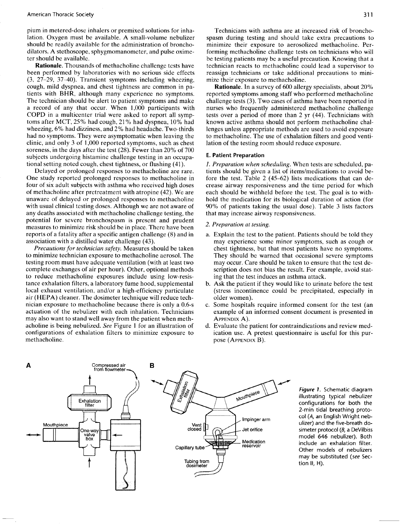#### **American Thoracic Society**

pium in metered-dose inhalers or premixed solutions for inhalation. Oxygen must be available. A small-volume nebulizer should be readily available for the administration of bronchodilators. A stethoscope, sphygmomanometer, and pulse oximeter should be available.

**Rationale.** Thousands of methacholine challenge tests have been performed by laboratories with no serious side effects  $(3, 27-29, 37-40)$ . Transient symptoms including wheezing, cough, mild dyspnea, and chest tightness are common in patients with BHR, although many experience no symptoms. The technician should be alert to patient symptoms and make a record of any that occur. When 1,000 participants with COPD in a multicenter trial were asked to report all symptoms after MCT, 25% had cough, 21% had dyspnea, 10% had wheezing, 6% had dizziness, and 2% had headache. Two-thirds had no symptoms. They were asymptomatic when leaving the clinic, and only 3 of 1,000 reported symptoms, such as chest soreness, in the days after the test (28). Fewer than 20% of 700 subjects undergoing histamine challenge testing in an occupational setting noted cough, chest tightness, or flushing (41).

Delayed or prolonged responses to methacholine are rare. One study reported prolonged responses to methacholine in four of six adult subjects with asthma who received high doses of methacholine after pretreatment with atropine (42). We are unaware of delayed or prolonged responses to methacholine with usual clinical testing doses. Although we are not aware of any deaths associated with methacholine challenge testing, the potential for severe bronchospasm is present and prudent measures to minimize risk should be in place. There have been reports of a fatality after a specific antigen challenge (8) and in association with a distilled water challenge (43).

*Precautions for technician safety.* Measures should be taken to minimize technician exposure to methacholine aerosol. The testing room must have adequate ventilation (with at least two complete exchanges of air per hour). Other, optional methods to reduce methacholine exposures include using low-resistance exhalation filters, a laboratory fume hood, supplemental local exhaust ventilation, and/or a high-efficiency particulate air (HEPA) cleaner. The dosimeter technique will reduce technician exposure to methacholine because there is only a 0.6-s actuation of the nebulizer with each inhalation. Technicians may also want to stand well away from the patient when methacholine is being nebulized. See Figure 1 for an illustration of configurations of exhalation filters to minimize exposure to methacholine.

Technicians with asthma are at increased risk of bronchospasm during testing and should take extra precautions to minimize their exposure to aerosolized methacholine. Performing methacholine challenge tests on technicians who will be testing patients may be a useful precaution. Knowing that a technician reacts to methacholine could lead a supervisor to reassign technicians or take additional precautions to minimize their exposure to methacholine.

**Rationale.** In a survey of 600 allergy specialists, about 20% reported symptoms among staff who performed methacholine challenge tests (3). Two cases of asthma have been reported in nurses who frequently administered methacholine challenge tests over a period of more than 2 yr (44). Technicians with known active asthma should not perform methacholine challenges unless appropriate methods are used to avoid exposure to methacholine. The use of exhalation filters and good ventilation of the testing room should reduce exposure.

# **E. Patient Preparation**

1. Preparation when scheduling. When tests are scheduled, patients should be given a list of items/medications to avoid before the test. Table 2 (45–62) lists medications that can decrease airway responsiveness and the time period for which each should be withheld before the test. The goal is to withhold the medication for its biological duration of action (for 90% of patients taking the usual dose). Table 3 lists factors that may increase airway responsiveness.

# 2. Preparation at testing.

- a. Explain the test to the patient. Patients should be told they may experience some minor symptoms, such as cough or chest tightness, but that most patients have no symptoms. They should be warned that occasional severe symptoms may occur. Care should be taken to ensure that the test description does not bias the result. For example, avoid stating that the test induces an asthma attack.
- b. Ask the patient if they would like to urinate before the test (stress incontinence could be precipitated, especially in older women).
- c. Some hospitals require informed consent for the test (an example of an informed consent document is presented in APPENDIX A).
- d. Evaluate the patient for contraindications and review medication use. A pretest question aire is useful for this purpose (APPENDIX B).



Figure 1. Schematic diagram illustrating typical nebulizer configurations for both the 2-min tidal breathing protocol (A, an English Wright nebulizer) and the five-breath dosimeter protocol  $(B, a$  DeVilbiss model 646 nebulizer). Both include an exhalation filter. Other models of nebulizers may be substituted (see Section II, H).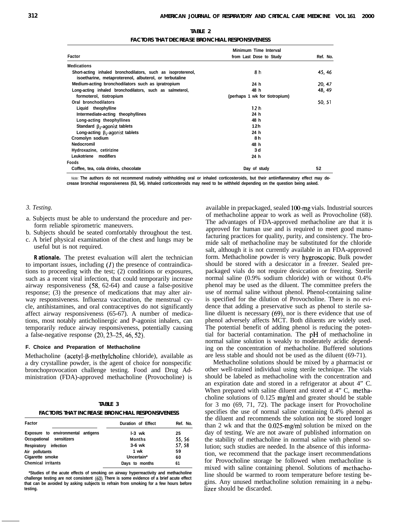|                                                                                                                        | Minimum Time Interval         |          |
|------------------------------------------------------------------------------------------------------------------------|-------------------------------|----------|
| Factor                                                                                                                 | from Last Dose to Study       | Ref. No. |
| <b>Medications</b>                                                                                                     |                               |          |
| Short-acting inhaled bronchodilators, such as isoproterenol,<br>isoetharine, metaproterenol, albuterol, or terbutaline | 8 h                           | 45, 46   |
| Medium-acting bronchodilators such as ipratropium                                                                      | 24 h                          | 20, 47   |
| Long-acting inhaled bronchodilators, such as salmeterol,                                                               | 48 h                          | 48, 49   |
| formoterol, tiotropium                                                                                                 | (perhaps 1 wk for tiotropium) |          |
| Oral bronchodilators                                                                                                   |                               | 50, 51   |
| Liquid theophylline                                                                                                    | 12h                           |          |
| Intermediate-acting theophyllines                                                                                      | 24 h                          |          |
| Long-acting theophyllines                                                                                              | 48 h                          |          |
| Standard $\beta_2$ -agonist tablets                                                                                    | 12h                           |          |
| Long-acting $\beta_2$ -agonist tablets                                                                                 | 24 h                          |          |
| Cromolyn sodium                                                                                                        | 8 h                           |          |
| Nedocromil                                                                                                             | 48 h                          |          |
| Hydroxazine, cetirizine                                                                                                | 3d                            |          |
| Leukotriene modifiers                                                                                                  | 24 h                          |          |
| Foods                                                                                                                  |                               |          |
| Coffee, tea, cola drinks, chocolate                                                                                    | Day of study                  | 52       |
|                                                                                                                        |                               |          |

**TABLE 2 FACTORS THAT DECREASE BRONCHIAL RESPONSIVENESS**

*Note:* **The authors do not recommend routinely withholding oral or inhaled corticosteroids, but their antiinflammatory effect may decrease bronchial responsiveness (53, 54). Inhaled corticosteroids may need to be withheld depending on the question being asked.**

#### *3. Testing.*

- a. Subjects must be able to understand the procedure and perform reliable spirometric maneuvers.
- b. Subjects should be seated comfortably throughout the test.
- c. A brief physical examination of the chest and lungs may be useful but is not required.

**Rationale.** The pretest evaluation will alert the technician to important issues, including  $(1)$  the presence of contraindications to proceeding with the test; (2) conditions or exposures, such as a recent viral infection, that could temporarily increase airway responsiveness (58, 62-64) and cause a false-positive response; (3) the presence of medications that may alter airway responsiveness. Influenza vaccination, the menstrual cycle, antihistamines, and oral contraceptives do not significantly affect airway responsiveness (65-67). A number of medications, most notably anticholinergic and P-agonist inhalers, can temporarily reduce airway responsiveness, potentially causing a false-negative response (20,23-25,46,52).

## **F. Choice and Preparation of Methacholine**

Methacholine (acetyl- $\beta$ -methylcholine chloride), available as a dry crystalline powder, is the agent of choice for nonspecific bronchoprovocation challenge testing. Food and Drug Administration (FDA)-approved methacholine (Provocholine) is

**TABLE 3 FACTORS THAT INCREASE BRONCHIAL RESPONSIVENESS**

| Factor                             | Duration of Effect | Ref. No. |
|------------------------------------|--------------------|----------|
| Exposure to environmental antigens | $I-3$ wk           | 25       |
| Occupational sensitizers           | <b>Months</b>      | 55.56    |
| Respiratory infection              | $3-6$ wk           | 57, 58   |
| Air pollutants                     | 1 wk               | 59       |
| Cigarette smoke                    | Uncertain*         | 60       |
| <b>Chemical irritants</b>          | Davs to months     | 61       |

**\*Studies of the acute effects of smoking on airway hyperreactivity and methacholine challenge testing are not consistent (60). There is some evidence of a brief acute effect that can be avoided by asking subjects to refrain from smoking for a few hours before testing.**

available in prepackaged, sealed lOO-mg vials. Industrial sources of methacholine appear to work as well as Provocholine (68). The advantages of FDA-approved methacholine are that it is approved for human use and is required to meet good manufacturing practices for quality, purity, and consistency. The bromide salt of methacholine may be substituted for the chloride salt, although it is not currently available in an FDA-approved form. Methacholine powder is very hygroscopic. Bulk powder should be stored with a desiccator in a freezer. Sealed prepackaged vials do not require desiccation or freezing. Sterile normal saline (0.9% sodium chloride) with or without 0.4% phenol may be used as the diluent. The committee prefers the use of normal saline without phenol. Phenol-containing saline is specified for the dilution of Provocholine. There is no evidence that adding a preservative such as phenol to sterile saline diluent is necessary (69), nor is there evidence that use of phenol adversely affects MCT. Both diluents are widely used. The potential benefit of adding phenol is reducing the potential for bacterial contamination. The pH of methacholine in normal saline solution is weakly to moderately acidic depending on the concentration of methacholine. Buffered solutions are less stable and should not be used as the diluent (69-71).

Methacholine solutions should be mixed by a pharmacist or other well-trained individual using sterile technique. The vials should be labeled as methacholine with the concentration and an expiration date and stored in a refrigerator at about 4" C. When prepared with saline diluent and stored at 4" C, methacholine solutions of 0.125 mg/ml and greater should be stable for 3 mo (69, 71, 72). The package insert for Provocholine specifies the use of normal saline containing 0.4% phenol as the diluent and recommends the solution not be stored longer than 2 wk and that the  $0.025$ -mg/ml solution be mixed on the day of testing. We are not aware of published information on the stability of methacholine in normal saline with phenol solution; such studies are needed. In the absence of this information, we recommend that the package insert recommendations for Provocholine storage be followed when methacholine is mixed with saline containing phenol. Solutions of methacholine should be warmed to room temperature before testing begins. Any unused methacholine solution remaining in a nebulizer should be discarded.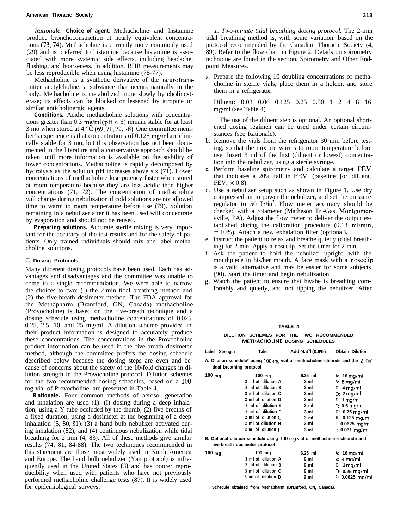#### **American Thoracic Society**

*Rationale.* **Choice of agent.** Methacholine and histamine produce bronchoconstriction at nearly equivalent concentrations (73,74). Methacholine is currently more commonly used (29) and is preferred to histamine because histamine is associated with more systemic side effects, including headache, flushing, and hoarseness. In addition, BHR measurements may be less reproducible when using histamine (75-77).

Methacholine is a synthetic derivative of the neurotransmitter acetylcholine, a substance that occurs naturally in the body. Methacholine is metabolized more slowly by cholinesterase; its effects can be blocked or lessened by atropine or similar anticholinergic agents.

**Conditions.** Acidic methacholine solutions with concentrations greater than 0.3 mg/ml ( $pH < 6$ ) remain stable for at least 3 mo when stored at 4"  $\dot{C}$  (69, 71, 72, 78). One committee member's experience is that concentrations of 0.125 mg/ml are clinically stable for 3 mo, but this observation has not been documented in the literature and a conservative approach should be taken until more information is available on the stability of lower concentrations. Methacholine is rapidly decomposed by hydrolysis as the solution pH increases above six (71). Lower concentrations of methacholine lose potency faster when stored at room temperature because they are less acidic than higher concentrations (71, 72). The concentration of methacholine will change during nebulization if cold solutions are not allowed time to warm to room temperature before use (79). Solution remaining in a nebulizer after it has been used will concentrate by evaporation and should not be reused.

**Preparing solutions.** Accurate sterile mixing is very important for the accuracy of the test results and for the safety of patients. Only trained individuals should mix and label methacholine solutions.

## C. **Dosing Protocols**

Many different dosing protocols have been used. Each has advantages and disadvantages and the committee was unable to come to a single recommendation. We were able to narrow the choices to two: (I) the 2-min tidal breathing method and (2) the five-breath dosimeter method. The FDA approval for the Methapharm (Brantford, ON, Canada) methacholine (Provocholine) is based on the five-breath technique and a dosing schedule using methacholine concentrations of 0.025, 0.25, 2.5, 10, and 25 mg/ml. A dilution scheme provided in their product information is designed to accurately produce these concentrations. The concentrations in the Provocholine product information can be used in the five-breath dosimeter method, although the committee prefers the dosing schedule described below because the dosing steps are even and because of concerns about the safety of the 10-fold changes in dilution strength in the Provocholine protocol. Dilution schemes for the two recommended dosing schedules, based on a lOOmg vial of Provocholine, are presented in Table 4.

**Rationale.** Four common methods of aerosol generation and inhalation are used (1): (I) dosing during a deep inhalation, using a Y tube occluded by the thumb;  $(2)$  five breaths of a fixed duration, using a dosimeter at the beginning of a deep inhalation  $(5, 80, 81)$ ;  $(3)$  a hand bulb nebulizer activated during inhalation (82); and (4) continuous nebulization while tidal breathing for 2 min (4, 83). All of these methods give similar results (74, 81, 84-88). The two techniques recommended in this statement are those most widely used in North America and Europe. The hand bulb nebulizer (Yan protocol) is infrequently used in the United States (3) and has poorer reproducibility when used with patients who have not previously performed methacholine challenge tests (87). It is widely used for epidemiological surveys.

*1. Two-minute tidal breathing dosing protocol.* The 2-min tidal breathing method is, with some variation, based on the protocol recommended by the Canadian Thoracic Society (4, 89). Refer to the flow chart in Figure 2. Details on spirometry technique are found in the section, Spirometry and Other Endpoint Measures.

a. Prepare the following 10 doubling concentrations of methacholine in sterile vials, place them in a holder, and store them in a refrigerator:

Diluent: 0.03 0.06 0.125 0.25 0.50 1 2 4 8 16 mg/ml (see Table 4)

The use of the diluent step is optional. An optional shortened dosing regimen can be used under certain circumstances (see Rationale).

- b. Remove the vials from the refrigerator 30 min before testing, so that the mixture warms to room temperature before use. Insert 3 ml of the first (diluent or lowest) concentration into the nebulizer, using a sterile syringe.
- **C.** Perform baseline spirometry and calculate a target  $FEV_1$ that indicates a  $20\%$  fall in  $FEV_1$  (baseline [or diluent] FEV,  $\times$  0.8).
- d. Use a nebulizer setup such as shown in Figure 1. Use dry compressed air to power the nebulizer, and set the pressure regulator to 50 lb/in<sup>2</sup>. Flow meter accuracy should be checked with a rotameter (Matheson Tri-Gas, Montgomeryville, PA). Adjust the flow meter to deliver the output established during the calibration procedure (0.13 ml/min,  $\pm$  10%). Attach a new exhalation filter (optional).
- e. Instruct the patient to relax and breathe quietly (tidal breathing) for 2 min. Apply a noseclip. Set the timer for 2 min.
- f. Ask the patient to hold the nebulizer upright, with the mouthpiece in his/her mouth. A face mask with a noseclip is a valid alternative and may be easier for some subjects (90). Start the timer and begin nebulization.
- g. Watch the patient to ensure that he/she is breathing comfortably and quietly, and not tipping the nebulizer. After

#### **TABLE 4**

**DILUTION SCHEMES FOR THE TWO RECOMMENDED METHACHOLINE DOSING SCHEDULES**

|                          | Label Strength | Take                                                                                                           | Add NaCl (0.9%)                                                                | <b>Obtain Dilution</b>    |  |
|--------------------------|----------------|----------------------------------------------------------------------------------------------------------------|--------------------------------------------------------------------------------|---------------------------|--|
| tidal breathing protocol |                |                                                                                                                | A. Dilution schedule* using 100-mq vial of methacholine chloride and the 2-min |                           |  |
| 100 $mg$                 |                | $100$ mg                                                                                                       | 6.25 ml                                                                        | A: 16 mg/ml               |  |
|                          |                | 3 ml of dilution A                                                                                             | 3 <sub>m</sub>                                                                 | $B: 8$ mg/ml              |  |
|                          |                | 3 ml of dilution B                                                                                             | 3 <sub>m</sub>                                                                 | $C: 4$ mg/ml              |  |
|                          |                | 3 ml of dilution C                                                                                             | 3 <sub>m</sub>                                                                 | $D: 2$ mg/ml              |  |
|                          |                | 3 ml of dilution D                                                                                             | 3 ml                                                                           | $E: 1$ mg/ml              |  |
|                          |                | 3 ml of dilution E                                                                                             | 3 ml                                                                           | $F: 0.5$ ma/ml            |  |
|                          |                | 3 ml of dilution F                                                                                             | 3 ml                                                                           | $C: 0.25 \, \text{mq/ml}$ |  |
|                          |                | $3 \text{ ml of dilution} C$                                                                                   | 3 <sub>m</sub>                                                                 | $H: 0.125$ mg/ml          |  |
|                          |                | 3 ml of dilution H                                                                                             | 3 <sub>m</sub>                                                                 | $\pm$ 0.0625 mg/ml        |  |
|                          |                | 3 ml of dilution I                                                                                             | 3 ml                                                                           | $\ln 0.031$ mg/ml         |  |
|                          |                | B. Optional dilution schedule using 100-mg vial of methacholine chloride and<br>five-breath dosimeter protocol |                                                                                |                           |  |
| 100 $mg$                 |                | $100$ mg                                                                                                       | $6.25$ ml                                                                      | A: 16 mg/ml               |  |
|                          |                | 3 ml of dilution A                                                                                             | 9 ml                                                                           | B: 4 mq/ml                |  |
|                          |                | 3 ml of dilution B                                                                                             | 9 ml                                                                           | C: 1 mg/ml                |  |
|                          |                | 3 ml of dilution C                                                                                             | 9 ml                                                                           | $D: 0.25$ ma/ml           |  |

**3 ml of dilution D 9 ml E: 0.0625 mg/ml**

l **Schedule obtained from Methapharm (Brantford, ON, Canada).**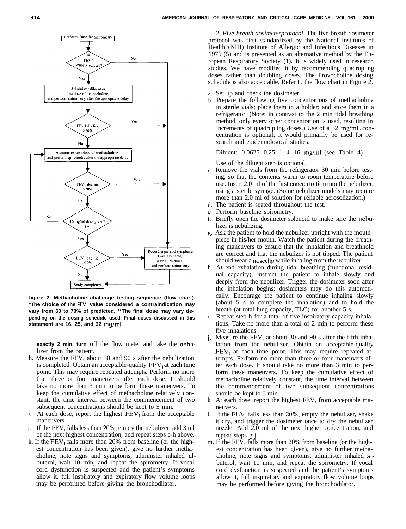

**figure 2. Methacholine challenge testing sequence (flow chart). \*The choice of the FEV, value considered a contraindication may vary from 60 to 70% of predicted. \*\*The final dose may vary depending on the dosing schedule used. Final doses discussed in this statement are 16, 25, and 32 mg/ml.**

**exactly 2 min, turn** off the flow meter and take the nebulizer from the patient.

- h. Measure the FEV, about 30 and 90 s after the nebulization is completed. Obtain an acceptable-quality FEV, at each time point. This may require repeated attempts. Perform no more than three or four maneuvers after each dose. It should take no more than 3 min to perform these maneuvers. To keep the cumulative effect of methacholine relatively constant, the time interval between the commencement of two subsequent concentrations should be kept to 5 min.
- i. At each dose, report the highest  $FEV<sub>1</sub>$  from the acceptable maneuvers.
- j. If the FEV, falls less than 20%, empty the nebulizer, add 3 ml of the next highest concentration, and repeat steps e-h above.
- k. If the  $FEV<sub>1</sub>$  falls more than 20% from baseline (or the highest concentration has been given), give no further methacholine, note signs and symptoms, administer inhaled albuterol, wait 10 min, and repeat the spirometry. If vocal cord dysfunction is suspected and the patient's symptoms allow it, full inspiratory and expiratory flow volume loops may be performed before giving the bronchodilator.

2. *Five-breath dosimeterprotocol.* The five-breath dosimeter protocol was first standardized by the National Institutes of Health (NIH) Institute of Allergic and Infectious Diseases in 1975 (5) and is presented as an alternative method by the European Respiratory Society (1). It is widely used in research studies. We have modified it by recommending quadrupling doses rather than doubling doses. The Provocholine dosing schedule is also acceptable. Refer to the flow chart in Figure 2.

- a. Set up and check the dosimeter.
- b. Prepare the following five concentrations of methacholine in sterile vials; place them in a holder; and store them in a refrigerator. (Note: in contrast to the 2 min tidal breathing method, only every other concentration is used, resulting in increments of quadrupling doses.) Use of a 32 mg/mL concentration is optional; it would primarily be used for research and epidemiological studies.

Diluent: 0.0625 0.25 1 4 16 mg/ml (see Table 4)

Use of the diluent step is optional.

- C. Remove the vials from the refrigerator 30 min before testing, so that the contents warm to room temperature before use. Insert 2.0 ml of the first concentration into the nebulizer, using a sterile syringe. (Some nebulizer models may require more than 2.0 ml of solution for reliable aerosolization.)
- d. The patient is seated throughout the test.
- Perform baseline spirometry.
- f. Briefly open the dosimeter solenoid to make sure the nebulizer is nebulizing.
- g. Ask the patient to hold the nebulizer upright with the mouthpiece in his/her mouth. Watch the patient during the breathing maneuvers to ensure that the inhalation and breathhold are correct and that the nebulizer is not tipped. The patient should wear a noseclip while inhaling from the nebulizer.
- h. At end exhalation during tidal breathing (functional residual capacity), instruct the patient to inhale slowly and deeply from the nebulizer. Trigger the dosimeter soon after the inhalation begins; dosimeters may do this automatically. Encourage the patient to continue inhaling slowly (about 5 s to complete the inhalation) and to hold the breath (at total lung capacity, TLC) for another 5 s.
- 1. Repeat step h for a total of five inspiratory capacity inhalations. Take no more than a total of 2 min to perform these five inhalations.
- j. Measure the FEV, at about 30 and 90 s after the fifth inhalation from the nebulizer. Obtain an acceptable-quality  $FEV<sub>1</sub>$  at each time point. This may require repeated attempts. Perform no more than three or four maneuvers after each dose. It should take no more than 3 min to perform these maneuvers. To keep the cumulative effect of methacholine relatively constant, the time interval between the commencement of two subsequent concentrations should be kept to 5 min.
- k. At each dose, report the highest FEV, from acceptable maneuvers.
- 1. If the  $FEV_1$  falls less than 20%, empty the nebulizer, shake it dry, and trigger the dosimeter once to dry the nebulizer nozzle. Add 2.0 ml of the next higher concentration, and repeat steps g-j.
- m. If the FEV, falls more than 20% from baseline (or the highest concentration has been given), give no further methacholine, note signs and symptoms, administer inhaled albuterol, wait 10 min, and repeat the spirometry. If vocal cord dysfunction is suspected and the patient's symptoms allow it, full inspiratory and expiratory flow volume loops may be performed before giving the bronchodilator.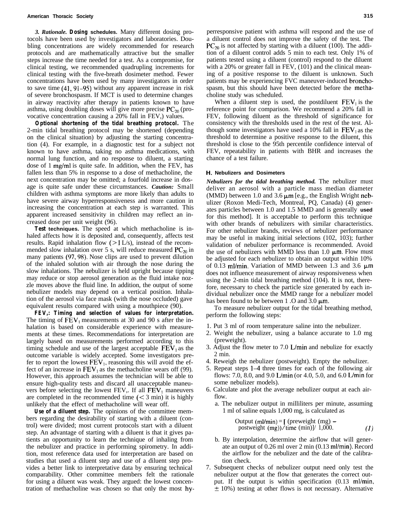*3. Rationale.* **Dosing schedules.** Many different dosing protocols have been used by investigators and laboratories. Doubling concentrations are widely recommended for research protocols and are mathematically attractive but the smaller steps increase the time needed for a test. As a compromise, for clinical testing, we recommended quadrupling increments for clinical testing with the five-breath dosimeter method. Fewer concentrations have been used by many investigators in order to save time  $(41, 91-95)$  without any apparent increase in risk of severe bronchospasm. If MCT is used to determine changes in airway reactivity after therapy in patients known to have asthma, using doubling doses will give more precise  $PC_{20}$  (provocative concentration causing a 20% fall in FEV,) values.

**Optional shortening of the tidal breathing protocol.** The 2-min tidal breathing protocol may be shortened (depending on the clinical situation) by adjusting the starting concentration (4). For example, in a diagnostic test for a subject not known to have asthma, taking no asthma medications, with normal lung function, and no response to diluent, a starting dose of 1 mg/ml is quite safe. In addition, when the FEV, has fallen less than 5% in response to a dose of methacholine, the next concentration may be omitted; a fourfold increase in dosage is quite safe under these circumstances. *Caution:* Small children with asthma symptoms are more likely than adults to have severe airway hyperresponsiveness and more caution in increasing the concentration at each step is warranted. This apparent increased sensitivity in children may reflect an increased dose per unit weight (96).

**Test techniques.** The speed at which methacholine is inhaled affects how it is deposited and, consequently, affects test results. Rapid inhalation flow  $(>1 \text{ L/s})$ , instead of the recommended slow inhalation over 5 s, will reduce measured  $PC_{20}$  in many patients (97,98). Nose clips are used to prevent dilution of the inhaled solution with air through the nose during the slow inhalations. The nebulizer is held upright because tipping may reduce or stop aerosol generation as the fluid intake nozzle moves above the fluid line. In addition, the output of some nebulizer models may depend on a vertical position. Inhalation of the aerosol via face mask (with the nose occluded) gave equivalent results compared with using a mouthpiece (90).

**FEV,: Timing and selection of values for interpretation.** The timing of  $FEV_1$  measurements at 30 and 90 s after the inhalation is based on considerable experience with measurements at these times. Recommendations for interpretation are largely based on measurements performed according to this timing schedule and use of the largest acceptable  $FEV<sub>1</sub>$  as the outcome variable is widely accepted. Some investigators prefer to report the lowest  $FEV<sub>1</sub>$ , reasoning this will avoid the effect of an increase in  $FEV_1$  as the methacholine wears off (99). However, this approach assumes the technician will be able to ensure high-quality tests and discard all unacceptable maneuvers before selecting the lowest FEV,. If all  $FEV_1$  maneuvers are completed in the recommended time  $(< 3$  min) it is highly unlikely that the effect of methacholine will wear off.

**Use of a diluent step.** The opinions of the committee members regarding the desirability of starting with a diluent (control) were divided; most current protocols start with a diluent step. An advantage of starting with a diluent is that it gives patients an opportunity to learn the technique of inhaling from the nebulizer and practice in performing spirometry. In addition, most reference data used for interpretation are based on studies that used a diluent step and use of a diluent step provides a better link to interpretative data by ensuring technical comparability. Other committee members felt the rationale for using a diluent was weak. They argued: the lowest concentration of methacholine was chosen so that only the most hy-

When a diluent step is used, the postdiluent  $FEV<sub>1</sub>$  is the reference point for comparison. We recommend a 20% fall in FEV, following diluent as the threshold of significance for consistency with the thresholds used in the rest of the test. Although some investigators have used a 10% fall in  $FEV<sub>1</sub>$  as the threshold to determine a positive response to the diluent, this threshold is close to the 95th percentile confidence interval of FEV, repeatability in patients with BHR and increases the chance of a test failure.

#### **H. Nebulizers and Dosimeters**

*Nebulizers for the tidal breathing method.* The nebulizer must deliver an aerosol with a particle mass median diameter (MMD) between 1.0 and 3.6  $\mu$ m [e.g., the English Wright nebulizer (Roxon Medi-Tech, Montreal, PQ, Canada) (4) generates particles between 1.0 and 1.5 MMD and is generally **used** for this method]. It is acceptable to perform this technique with other brands of nebulizers with similar characteristics. For other nebulizer brands, reviews of nebulizer performance may be useful in making initial selections (102, 103); further validation of nebulizer performance is recommended. Avoid the use of nebulizers with MMD less than 1.0  $\mu$ m. Flow must be adjusted for each nebulizer to obtain an output within 10% of 0.13 ml/min. Variation of MMD between 1.3 and 3.6  $\mu$ m does not influence measurement of airway responsiveness when using the 2-min tidal breathing method (104). It is not, therefore, necessary to check the particle size generated by each individual nebulizer once the MMD range for a nebulizer model has been found to be between 1.0 and 3.0  $\mu$ m.

To measure nebulizer output for the tidal breathing method, perform the following steps:

- 1. Put 3 ml of room temperature saline into the nebulizer.
- 2. Weight the nebulizer, using a balance accurate to 1.0 mg (preweight).
- 3. Adjust the flow meter to 7.0 L/min and nebulize for exactly 2 min.
- 4. Reweigh the nebulizer (postweight). Empty the nebulizer.
- 5. Repeat steps 1–4 three times for each of the following air flows: 7.0, 8.0, and 9.0 Umin (or 4.0, 5.0, and 6.0 L/min for some nebulizer models).
- 6. Calculate and plot the average nebulizer output at each airflow.
	- a. The nebulizer output in milliliters per minute, assuming 1 ml of saline equals 1,000 mg, is calculated as

Output (mUmin) = [ (preweight (mg) postweight (mg))/time (min)]/ 1,000. (1)

- b. By interpolation, determine the airflow that will generate an output of 0.26 ml over 2 min (0.13 mUmin). Record the airflow for the nebulizer and the date of the calibration check.
- 7. Subsequent checks of nebulizer output need only test the nebulizer output at the flow that generates the correct output. If the output is within specification (0.13 ml/min,  $\pm$  10%) testing at other flows is not necessary. Alternative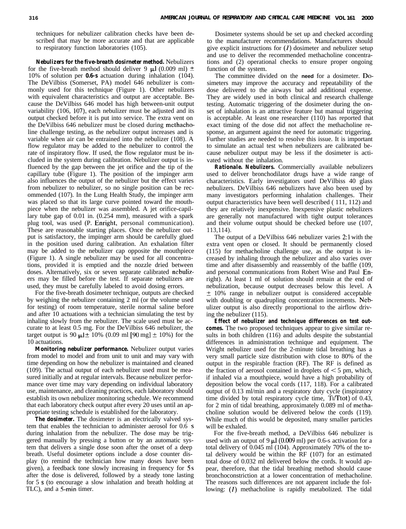techniques for nebulizer calibration checks have been described that may be more accurate and that are applicable to respiratory function laboratories (105).

*Nebulizers for the five-breath dosirneter method.* Nebulizers for the five-breath method should deliver 9  $\mu$  (0.009 ml)  $\pm$ 10% of solution per *0.6-s* actuation during inhalation (104). The DeVilbiss (Somerset, PA) model 646 nebulizer is commonly used for this technique (Figure 1). Other nebulizers with equivalent characteristics and output are acceptable. Because the DeVilbiss 646 model has high between-unit output variability (106, 107) each nebulizer must be adjusted and its output checked before it is put into service. The extra vent on the DeVilbiss 646 nebulizer must be closed during methacholine challenge testing, as the nebulizer output increases and is variable when air can be entrained into the nebulizer (108). A flow regulator may be added to the nebulizer to control the rate of inspiratory flow. If used, the flow regulator must be included in the system during calibration. Nebulizer output is influenced by the gap between the jet orifice and the tip of the capillary tube (Figure 1). The position of the impinger arm also influences the output of the nebulizer but the effect varies from nebulizer to nebulizer, so no single position can be recommended (107). In the Lung Health Study, the impinger arm was placed so that its large curve pointed toward the mouthpiece when the nebulizer was assembled. A jet orifice-capillary tube gap of 0.01 in. (0.254 mm), measured with a spark plug tool, was used (P. Enright, personal communication). These are reasonable starting places. Once the nebulizer output is satisfactory, the impinger arm should be carefully glued in the position used during calibration. An exhalation filter may be added to the nebulizer cap opposite the mouthpiece (Figure 1). A single nebulizer may be used for all concentrations, provided it is emptied and the nozzle dried between doses. Alternatively, six or seven separate calibrated nebulizers may be filled before the test. If separate nebulizers are used, they must be carefully labeled to avoid dosing errors.

For the five-breath dosimeter technique, outputs are checked by weighing the nebulizer containing 2 ml (or the volume used for testing) of room temperature, sterile normal saline before and after 10 actuations with a technician simulating the test by inhaling slowly from the nebulizer. The scale used must be accurate to at least 0.5 mg. For the DeVilbiss 646 nebulizer, the target output is 90  $\mu$ l  $\pm$  10% (0.09 ml [90 mg]  $\pm$  10%) for the 10 actuations.

*Monitoring nebulizer performance.* Nebulizer output varies from model to model and from unit to unit and may vary with time depending on how the nebulizer is maintained and cleaned (109). The actual output of each nebulizer used must be measured initially and at regular intervals. Because nebulizer performance over time may vary depending on individual laboratory use, maintenance, and cleaning practices, each laboratory should establish its own nebulizer monitoring schedule. We recommend that each laboratory check output after every 20 uses until an appropriate testing schedule is established for the laboratory.

**The dosimeter.** The dosimeter is an electrically valved system that enables the technician to administer aerosol for 0.6 s during inhalation from the nebulizer. The dose may be triggered manually by pressing a button or by an automatic system that delivers a single dose soon after the onset of a deep breath. Useful dosimeter options include a dose counter display (to remind the technician how many doses have been given), a feedback tone slowly increasing in frequency for 5 s after the dose is delivered, followed by a steady tone lasting for 5 s (to encourage a slow inhalation and breath holding at TLC), and a 5-min timer.

Dosimeter systems should be set up and checked according to the manufacturer recommendations. Manufacturers should give explicit instructions for  $(1)$  dosimeter and nebulizer setup and use to deliver the recommended methacholine concentrations and (2) operational checks to ensure proper ongoing function of the system.

The committee divided on the **need** for a dosimeter. Dosimeters may improve the accuracy and repeatability of the dose delivered to the airways but add additional expense. They are widely used in both clinical and research challenge testing. Automatic triggering of the dosimeter during the onset of inhalation is an attractive feature but manual triggering is acceptable. At least one researcher (110) has reported that exact timing of the dose did not affect the methacholine response, an argument against the need for automatic triggering. Further studies are needed to resolve this issue. It is important to simulate an actual test when nebulizers are calibrated because nebulizer output may be less if the dosimeter is activated without the inhalation.

*Rationale.* **Nebulizers.** Commercially available nebulizers used to deliver bronchodilator drugs have a wide range of characteristics. Early investigators used DeVilbiss 40 glass nebulizers. DeVilbiss 646 nebulizers have also been used by many investigators performing inhalation challenges. Their output characteristics have been well described ( 111, 112) and they are relatively inexpensive. Inexpensive plastic nebulizers are generally not manufactured with tight output tolerances and their volume output should be checked before use (107, 113,114).

The output of a DeVilbiss 646 nebulizer varies 2:l with the extra vent open or closed. It should be permanently closed (115) for methacholine challenge use, as the output is increased by inhaling through the nebulizer and also varies over time and after disassembly and reassembly of the baffle (109, and personal communications from Robert Wise and Paul Enright). At least 1 ml of solution should remain at the end of nebulization, because output decreases below this level. A  $\pm$  10% range in nebulizer output is considered acceptable with doubling or quadrupling concentration increments. Nebulizer output is also directly proportional to the airflow driving the nebulizer (115).

**Effect of nebulizer and technique differences on test outcomes.** The two proposed techniques appear to give similar results in both children (116) and adults despite the substantial differences in administration technique and equipment. The Wright nebulizer used for the 2-minute tidal breathing has a very small particle size distribution with close to 80% of the output in the respirable fraction (RF). The RF is defined as the fraction of aerosol contained in droplets of  $\leq 5$  pm, which, if inhaled via a mouthpiece, would have a high probability of deposition below the vocal cords (117, 118). For a calibrated output of 0.13 ml/min and a respiratory duty cycle (inspiratory time divided by total respiratory cycle time,  $T_1/T_1$  tot) of 0.43, for 2 min of tidal breathing, approximately 0.089 ml of methacholine solution would be delivered below the cords (119). While much of this would be deposited, many smaller particles will be exhaled.

For the five-breath method, a DeVilbiss 646 nebulizer is used with an output of 9  $\mu$ l (0.009 ml) per 0.6-s activation for a total delivery of 0.045 ml (104). Approximately 70% of the total delivery would be within the RF (107) for an estimated total dose of 0.032 ml delivered below the cords. It would appear, therefore, that the tidal breathing method should cause bronchoconstriction at a lower concentration of methacholine. The reasons such differences are not apparent include the following: (I) methacholine is rapidly metabolized. The tidal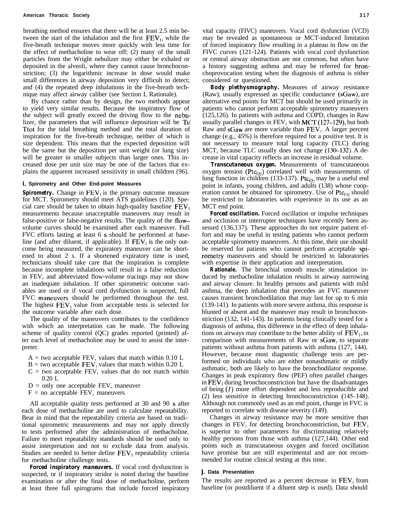breathing method ensures that there will be at least 2.5 min between the start of the inhalation and the first  $FEV<sub>1</sub>$ , while the five-breath technique moves more quickly with less time for the effect of methacholine to wear off; (2) many of the small particles from the Wright nebulizer may either be exhaled or deposited in the alveoli, where they cannot cause bronchoconstriction; (3) the logarithmic increase in dose would make small differences in airway deposition very difficult to detect; and (4) the repeated deep inhalations in the five-breath technique may affect airway caliber (see Section I, Rationale).

By chance rather than by design, the two methods appear to yield very similar results. Because the inspiratory flow of the subject will greatly exceed the driving flow to the nebulizer, the parameters that will influence deposition will be TI/ Ttot for the tidal breathing method and the total duration of inspiration for the five-breath technique, neither of which is size dependent. This means that the expected deposition will be the same but the deposition per unit weight (or lung size) will be greater in smaller subjects than larger ones. This increased dose per unit size may be one of the factors that explains the apparent increased sensitivity in small children (96).

## I. **Spirometry and Other End-point Measures**

*Spirometry.* Change in  $FEV<sub>1</sub>$  is the primary outcome measure for MCT. Spirometry should meet ATS guidelines (120). Special care should be taken to obtain high-quality baseline  $FEV<sub>1</sub>$ measurements because unacceptable maneuvers may result in false-positive or false-negative results. The quality of the flowvolume curves should be examined after each maneuver. Full FVC efforts lasting at least 6 s should be performed at baseline (and after diluent, if applicable). If  $FEV<sub>1</sub>$  is the only outcome being measured, the expiratory maneuver can be shortened to about 2 s. If a shortened expiratory time is used, technicians should take care that the inspiration is complete because incomplete inhalations will result in a false reduction in FEV, and abbreviated flow-volume tracings may not show an inadequate inhalation. If other spirometric outcome variables are used or if vocal cord dysfunction is suspected, full FVC maneuvers should be performed throughout the test. The highest  $FEV<sub>1</sub>$  value from acceptable tests is selected for the outcome variable after each dose.

The quality of the maneuvers contributes to the confidence with which an interpretation can be made. The following scheme of quality control (QC) grades reported (printed) after each level of methacholine may be used to assist the interpreter.

- $A = two acceptable FEV, values that match within 0.10 L$
- $B =$  two acceptable  $FEV_1$  values that match within 0.20 L
- $C = two acceptable FEV, values that do not match within$ 0.20 L
- $D =$  only one acceptable FEV, maneuver
- $F = no$  acceptable FEV, maneuvers

All acceptable quality tests performed at 30 and 90 s after each dose of methacholine are used to calculate repeatability. Bear in mind that the repeatability criteria are based on traditional spirometric measurements and may not apply directly to tests performed after the administration of methacholine. Failure to meet repeatability standards should be used only to assist interpretation and not to exclude data from analysis. Studies are needed to better define  $FEV<sub>1</sub>$  repeatability criteria for methacholine challenge tests.

**Forced inspiratory maneuvers.** If vocal cord dysfunction is suspected, or if inspiratory stridor is noted during the baseline examination or after the final dose of methacholine, perform at least three full spirograms that include forced inspiratory vital capacity (FIVC) maneuvers. Vocal cord dysfunction (VCD) may be revealed as spontaneous or MCT-induced limitation of forced inspiratory flow resulting in a plateau in flow on the FIVC curves (121-124). Patients with vocal cord dysfunction or central airway obstruction are not common, but often have a history suggesting asthma and may be referred for bronchoprovocation testing when the diagnosis of asthma is either considered or questioned.

*Body plethysmography.* Measures of airway resistance (Raw), usually expressed as specific conductance (sGaw), are alternative end points for MCT but should be used primarily in patients who cannot perform acceptable spirometry maneuvers (125,126). In patients with asthma and COPD, changes in Raw usually parallel changes in FEV, with MCT (127-129), but both Raw and sGaw are more variable than FEV,. A larger percent change (e.g., 45%) is therefore required for a positive test. It is not necessary to measure total lung capacity (TLC) during MCT, because TLC usually does not change (130-132). A decrease in vital capacity reflects an increase in residual volume.

*Transcutaneous oxygen.* Measurements of transcutaneous oxygen tension ( $\text{Ptc}_{O_2}$ ) correlated well with measurements of lung function in children (133-137). Ptc<sub>O</sub>, may be a useful end point in infants, young children, and adults (138) whose cooperation cannot be obtained for spirometry. Use of  $\text{Pic}_{O_2}$  should be restricted to laboratories with experience in its use as an MCT end point.

*Forced oscillation.* Forced oscillation or impulse techniques and occlusion or interrupter techniques have recently been assessed (136,137). These approaches do not require patient effort and may be useful in testing patients who cannot perform acceptable spirometry maneuvers. At this time, their use should be reserved for patients who cannot perform acceptable spirometry maneuvers and should be restricted to laboratories with expertise in their application and interpretation.

**Rationale.** The bronchial smooth muscle stimulation induced by methacholine inhalation results in airway narrowing and airway closure. In healthy persons and patients with mild asthma, the deep inhalation that precedes an FVC maneuver causes transient bronchodilation that may last for up to 6 min (139-141). In patients with more severe asthma, this response is blunted or absent and the maneuver may result in bronchoconstriction (132, 141-143). In patients being clinically tested for a diagnosis of asthma, this difference in the effect of deep inhalations on airways may contribute to the better ability of  $FEV<sub>1</sub>$ , in comparison with measurements of Raw or sGaw, to separate patients without asthma from patients with asthma (127, 144). However, because most diagnostic challenge tests are performed on individuals who are either nonasthmatic or mildly asthmatic, both are likely to have the bronchodilator response. Changes in peak expiratory flow (PEF) often parallel changes in  $FEV<sub>1</sub>$  during bronchoconstriction but have the disadvantages of being  $(1)$  more effort dependent and less reproducible and (2) less sensitive in detecting bronchoconstriction (145-148). Although not commonly used as an end point, change in FVC is reported to correlate with disease severity (149).

Changes in airway resistance may be more sensitive than changes in FEV, for detecting bronchoconstriction, but  $FEV_1$ is superior to other parameters for discriminating relatively healthy persons from those with asthma (127,144). Other end points such as transcutaneous oxygen and forced oscillation have promise but are still experimental and are not recommended for routine clinical testing at this time.

#### J. **Data Presentation**

The results are reported as a percent decrease in  $FEV<sub>1</sub>$  from baseline (or postdiluent if a diluent step is used). Data should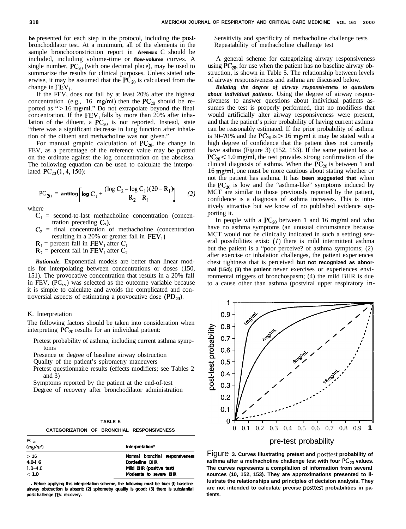**be** presented for each step in the protocol, including the postbronchodilator test. At a minimum, all of the elements in the sample bronchoconstriction report in APPENDIX C should be included, including volume-time or **flow-volume** curves. A single number,  $PC_{20}$  (with one decimal place), may be used to summarize the results for clinical purposes. Unless stated otherwise, it may be assumed that the  $PC_{20}$  is calculated from the change in  $FEV_1$ .

If the FEV, does not fall by at least 20% after the highest concentration (e.g., 16 mg/ml) then the  $PC_{20}$  should be reported as " $> 16$  mg/ml." Do not extrapolate beyond the final concentration. If the  $FEV<sub>1</sub>$  falls by more than 20% after inhalation of the diluent, a  $PC_{20}$  is not reported. Instead, state "there was a significant decrease in lung function after inhalation of the diluent and methacholine was not given."

For manual graphic calculation of  $PC_{20}$ , the change in FEV, as a percentage of the reference value may be plotted on the ordinate against the log concentration on the abscissa. The following equation can be used to calculate the interpolated  $PC_{20}(1, 4, 150)$ :

$$
PC_{20} = antilog \left[ log C_1 + \frac{(log C_2 - log C_1)(20 - R_1)}{R_2 - R_1} \right]
$$
 (2)

where

- $C_1$  = second-to-last methacholine concentration (concentration preceding  $C_2$ ).
- $C_2$  = final concentration of methacholine (concentration resulting in a 20% or greater fall in  $FEV<sub>1</sub>$ )
- $R_1$  = percent fall in FEV<sub>1</sub> after C<sub>1</sub>
- $R_2$  = percent fall in FEV<sub>1</sub> after C<sub>2</sub>

*Rationale.* Exponential models are better than linear models for interpolating between concentrations or doses (150, 151). The provocative concentration that results in a 20% fall in FEV, (PC,,,) was selected as the outcome variable because it is simple to calculate and avoids the complicated and controversial aspects of estimating a provocative dose  $(PD_{20})$ .

## K. Interpretation

The following factors should be taken into consideration when interpreting  $\overline{PC}_{20}$  results for an individual patient:

- Pretest probability of asthma, including current asthma symptoms
- Presence or degree of baseline airway obstruction
- Quality of the patient's spirometry maneuvers
- Pretest questionnaire results (effects modifiers; see Tables 2 and 3)

Symptoms reported by the patient at the end-of-test

Degree of recovery after bronchodilator administration

|  | <b>TABLE 5</b> |                                            |
|--|----------------|--------------------------------------------|
|  |                | CATEGORIZATION OF BRONCHIAL RESPONSIVENESS |

| $PC_{20}$<br>(mq/ml) | Interpretation*                 |
|----------------------|---------------------------------|
| >16                  | Normal bronchial responsiveness |
| $4.0 - 1.6$          | Borderline BHR                  |
| $1.0 - 4.0$          | Mild BHR (positive test)        |
| < 1.0                | Moderate to severe BHR          |

**.** Before applying this interpretation scheme, the following must be true: (I) baseline **airway obstruction is absent; (2) spirometry quality is good; (3) there is substantial postchallenge FEV, recovery.**

Sensitivity and specificity of methacholine challenge tests Repeatability of methacholine challenge test

A general scheme for categorizing airway responsiveness using  $PC_{20}$ , for use when the patient has no baseline airway obstruction, is shown in Table 5. The relationship between levels of airway responsiveness and asthma are discussed below.

*Relating the degree of airway responsiveness to questions about individual patients.* Using the degree of airway responsiveness to answer questions about individual patients assumes the test is properly performed, that no modifiers that would artificially alter airway responsiveness were present, and that the patient's prior probability of having current asthma can be reasonably estimated. If the prior probability of asthma is 30–70% and the  $PC_{20}$  is > 16 mg/ml it may be stated with a high degree of confidence that the patient does not currently have asthma (Figure 3) (152, 153). If the same patient has a  $PC_{20}$  < 1.0 mg/ml, the test provides strong confirmation of the clinical diagnosis of asthma. When the  $\overline{PC}_{20}$  is between 1 and 16 mg/ml, one must be more cautious about stating whether or not the patient has asthma. It has **been suggested that** when the  $PC_{20}$  is low and the "asthma-like" symptoms induced by MCT are similar to those previously reported by the patient, confidence is a diagnosis of asthma increases. This is intuitively attractive but we know of no published evidence supporting it.

In people with a  $PC_{20}$  between 1 and 16 mg/ml and who have no asthma symptoms (an unusual circumstance because MCT would not be clinically indicated in such a setting) several possibilities exist:  $(I)$  there is mild intermittent asthma but the patient is a "poor perceive? of asthma symptoms; (2) after exercise or inhalation challenges, the patient experiences chest tightness that is perceived **but not recognized as abnormal (154); (3) the patient** never exercises or experiences environmental triggers of bronchospasm; (4) the mild BHR is due to a cause other than asthma (postviral upper respiratory in-



Figure **3. Curves illustrating pretest and posttest probability of** asthma after a methacholine challenge test with four  $PC_{20}$  values. **The curves represents a compilation of information from several sources (10, 152, 153). They are approximations presented to illustrate the relationships and principles of decision analysis. They are not intended to calculate precise posttest probabilities in patients.**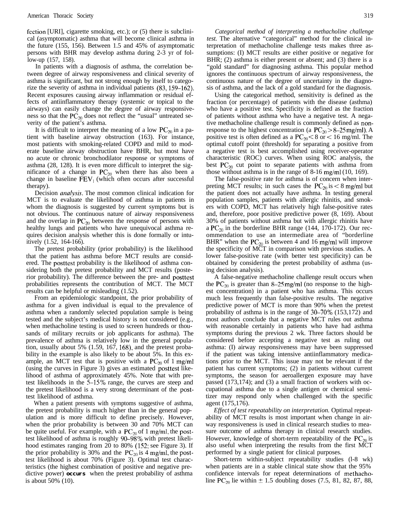fection [URI], cigarette smoking, etc.); or (5) there is subclinical (asymptomatic) asthma that will become clinical asthma in the future (155, 156). Between 1.5 and 45% of asymptomatic persons with BHR may develop asthma during 2-3 yr of follow-up (157, 158).

In patients with a diagnosis of asthma, the correlation between degree of airway responsiveness and clinical severity of asthma is significant, but not strong enough by itself to categorize the severity of asthma in individual patients (83,159-162). Recent exposures causing airway inflammation or residual effects of antiinflammatory therapy (systemic or topical to the airways) can easily change the degree of airway responsiveness so that the  $PC_{20}$  does not reflect the "usual" untreated severity of the patient's asthma.

It is difficult to interpret the meaning of a low  $PC_{20}$  in a patient with baseline airway obstruction (163). For instance, most patients with smoking-related COPD and mild to moderate baseline airway obstruction have BHR, but most have no acute or chronic bronchodilator response or symptoms of asthma (28, 128). It is even more difficult to interpret the significance of a change in  $PC_{20}$  when there has also been a change in baseline  $\overline{FEV}_1$  (which often occurs after successful therapy).

Decision *unalysis.* The most common clinical indication for MCT is to evaluate the likelihood of asthma in patients in whom the diagnosis is suggested by current symptoms but is not obvious. The continuous nature of airway responsiveness and the overlap in  $PC_{20}$  between the response of persons with healthy lungs and patients who have unequivocal asthma requires decision analysis whether this is done formally or intuitively (1.52, 164-166).

The pretest probability (prior probability) is the likelihood that the patient has asthma before MCT results are considered. The posttest probability is the likelihood of asthma considering both the pretest probability and MCT results (posterior probability). The difference between the pre- and posttest probabilities represents the contribution of MCT. The MCT results can be helpful or misleading (1.52).

From an epidemiologic standpoint, the prior probability of asthma for a given individual is equal to the prevalence of asthma when a randomly selected population sample is being tested and the subject's medical history is not considered (e.g., when methacholine testing is used to screen hundreds or thousands of military recruits or job applicants for asthma). The prevalence of asthma is relatively low in the general population, usually about 5% (1.59, 167, 168), and the pretest probability in the example is also likely to be about 5%. In this example, an MCT test that is positive with a  $PC_{20}$  of 1 mg/ml (using the curves in Figure 3) gives an estimated posttest likelihood of asthma of approximately 45%. Note that with pretest likelihoods in the S-15% range, the curves are steep and the pretest likelihood is a very strong determinant of the posttest likelihood of asthma.

When a patient presents with symptoms suggestive of asthma, the pretest probability is much higher than in the general population and is more difficult to define precisely. However, when the prior probability is between 30 and 70% MCT can be quite useful. For example, with a  $PC_{20}$  of 1 mg/ml, the posttest likelihood of asthma is roughly 90-98% with pretest likelihood estimates ranging from 20 to 80% (152; see Figure 3). If the prior probability is 30% and the  $PC_{20}$  is 4 mg/ml, the posttest likelihood is about 70% (Figure 3). Optimal test characteristics (the highest combination of positive and negative predictive power) **occurs** when the pretest probability of asthma is about 50% (10).

*Categorical method of interpreting a methacholine challenge test.* The alternative "categorical" method for the clinical interpretation of methacholine challenge tests makes three assumptions: (I) MCT results are either positive or negative for  $BHR$ ; (2) asthma is either present or absent; and (3) there is a "gold standard" for diagnosing asthma. This popular method ignores the continuous spectrum of airway responsiveness, the continuous nature of the degree of uncertainty in the diagnosis of asthma, and the lack of a gold standard for the diagnosis.

Using the categorical method, sensitivity is defined as the fraction (or percentage) of patients with the disease (asthma) who have a positive test. Specificity is defined as the fraction of patients without asthma who have a negative test. A negative methacholine challenge result is commonly defined as nonresponse to the highest concentration (a  $PC_{20} > 8-25$  mg/ml). A positive test is often defined as a  $PC_{20} < 8$  or  $< 16$  mg/ml. The optimal cutoff point (threshold) for separating a positive from a negative test is best accomplished using receiver-operator characteristic (ROC) curves. When using ROC analysis, the best  $PC_{20}$  cut point to separate patients with asthma from those without asthma is in the range of 8-16 mg/ml  $(10, 169)$ .

The false-positive rate for asthma is of concern when interpreting MCT results; in such cases the  $PC_{20}$  is  $\lt$  8 mg/ml but the patient does not actually have asthma. In testing general population samples, patients with allergic rhinitis, and smokers with COPD, MCT has relatively high false-positive rates and, therefore, poor positive predictive power (8, 169). About 30% of patients without asthma but with allergic rhinitis have a  $PC_{20}$  in the borderline BHR range (144, 170-172). Our recommendation to use an intermediate area of "borderline BHR" when the  $PC_{20}$  is between 4 and 16 mg/ml will improve the specificity of MCT in comparison with previous studies. A lower false-positive rate (with better test specificity) can be obtained by considering the pretest probability of asthma (using decision analysis).

A false-negative methacholine challenge result occurs when the  $PC_{20}$  is greater than 8-25 mg/ml (no response to the highest concentration) in a patient who has asthma. This occurs much less frequently than false-positive results. The negative predictive power of MCT is more than 90% when the pretest probability of asthma is in the range of 30-70% (153,172) and most authors conclude that a negative MCT rules out asthma with reasonable certainly in patients who have had asthma symptoms during the previous 2 wk. Three factors should be considered before accepting a negative test as ruling out asthma: (I) airway responsiveness may have been suppressed if the patient was taking intensive antiinflammatory medications prior to the MCT. This issue may not be relevant if the patient has current symptoms; (2) in patients without current symptoms, the season for aeroallergen exposure may have passed (173,174); and (3) a small fraction of workers with occupational asthma due to a single antigen or chemical sensitizer may respond only when challenged with the specific agent (175,176).

*Effect of test repeatability on interpretation.* Optimal repeatability of MCT results is most important when change in airway responsiveness is used in clinical research studies to measure outcome of asthma therapy in clinical research studies. However, knowledge of short-term repeatability of the  $PC_{20}$  is also useful when interpreting the results from the first MCT performed by a single patient for clinical purposes.

Short-term within-subject repeatability studies (l-8 wk) when patients are in a stable clinical state show that the 95% confidence intervals for repeat determinations of methacholine PC<sub>20</sub> lie within  $\pm$  1.5 doubling doses (7.5, 81, 82, 87, 88,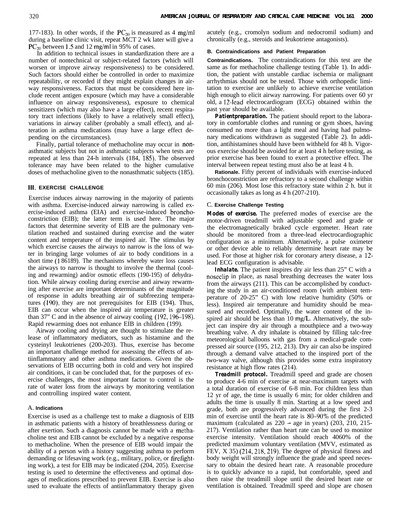177-183). In other words, if the  $PC_{20}$  is measured as 4 mg/ml during a baseline clinic visit, repeat MCT 2 wk later will give a  $PC_{20}$  between 1.5 and 12 mg/ml in 95% of cases.

In addition to technical issues in standardization there are a number of nontechnical or subject-related factors (which will worsen or improve airway responsiveness) to be considered. Such factors should either be controlled in order to maximize repeatability, or recorded if they might explain changes in airway responsiveness. Factors that must be considered here include recent antigen exposure (which may have a considerable influence on airway responsiveness), exposure to chemical sensitizers (which may also have a large effect), recent respiratory tract infections (likely to have a relatively small effect), variations in airway caliber (probably a small effect), and alteration in asthma medications (may have a large effect depending on the circumstances).

Finally, partial tolerance of methacholine may occur in nonasthmatic subjects but not in asthmatic subjects when tests are repeated at less than 24-h intervals (184, 185). The observed tolerance may have been related to the higher cumulative doses of methacholine given to the nonasthmatic subjects (185).

# III. **EXERCISE CHALLENGE**

Exercise induces airway narrowing in the majority of patients with asthma. Exercise-induced airway narrowing is called exercise-induced asthma (EIA) and exercise-induced bronchoconstriction (EIB); the latter term is used here. The major factors that determine severity of EIB are the pulmonary ventilation reached and sustained during exercise and the water content and temperature of the inspired air. The stimulus by which exercise causes the airways to narrow is the loss of water in bringing large volumes of air to body conditions in a short time (I 86189). The mechanisms whereby water loss causes the airways to narrow is thought to involve the thermal (cooling and rewarming) and/or osmotic effects (190-195) of dehydration. While airway cooling during exercise and airway rewarming after exercise are important determinants of the magnitude of response in adults breathing air of subfreezing temperatures (190), they are not prerequisites for EIB (194). Thus, EIB can occur when the inspired air temperature is greater than 37" C and in the absence of airway cooling (192,196-198). Rapid rewarming does not enhance EIB in children (199).

Airway cooling and drying are thought to stimulate the release of inflammatory mediators, such as histamine and the cysteinyl leukotrienes (200-203). Thus, exercise has become an important challenge method for assessing the effects of antiinflammatory and other asthma medications. Given the observations of EIB occurring both in cold and very hot inspired air conditions, it can be concluded that, for the purposes of exercise challenges, the most important factor to control is the rate of water loss from the airways by monitoring ventilation and controlling inspired water content.

# A. **Indications**

Exercise is used as a challenge test to make a diagnosis of EIB in asthmatic patients with a history of breathlessness during or after exertion. Such a diagnosis cannot be made with a methacholine test and EIB cannot be excluded by a negative response to methacholine. When the presence of EIB would impair the ability of a person with a history suggesting asthma to perform demanding or lifesaving work (e.g., military, police, or firefighting work), a test for EIB may be indicated (204, 205). Exercise testing is used to determine the effectiveness and optimal dosages of medications prescribed to prevent EIB. Exercise is also used to evaluate the effects of antiinflammatory therapy given

acutely (e.g., cromolyn sodium and nedocromil sodium) and chronically (e.g., steroids and leukotriene antagonists).

#### **B. Contraindications and Patient Preparation**

**Contraindications.** The contraindications for this test are the same as for methacholine challenge testing (Table 1). In addition, the patient with unstable cardiac ischemia or malignant arrhythmias should not be tested. Those with orthopedic limitation to exercise are unlikely to achieve exercise ventilation high enough to elicit airway narrowing. For patients over 60 yr old, a 12-lead electrocardiogram (ECG) obtained within the past year should be available.

**Patient preparation.** The patient should report to the laboratory in comfortable clothes and running or gym shoes, having consumed no more than a light meal and having had pulmonary medications withdrawn as suggested (Table 2). In addition, antihistamines should have been withheld for 48 h. Vigorous exercise should be avoided for at least 4 h before testing, as prior exercise has been found to exert a protective effect. The interval between repeat testing must also be at least 4 h.

**Rationale.** Fifty percent of individuals with exercise-induced bronchoconstriction are refractory to a second challenge within 60 min (206). Most lose this refractory state within 2 h. but it occasionally takes as long as 4 h (207-210).

## C. **Exercise Challenge Testing**

*Modes of exercise.* The preferred modes of exercise are the motor-driven treadmill with adjustable speed and grade or the electromagnetically braked cycle ergometer. Heart rate should be monitored from a three-lead electrocardiographic configuration as a minimum. Alternatively, a pulse oximeter or other device able to reliably determine heart rate may be used. For those at higher risk for coronary artery disease, a 12 lead ECG configuration is advisable.

**Inhalate.** The patient inspires dry air less than 25" C with a noseclip in place, as nasal breathing decreases the water loss from the airways (211). This can be accomplished by conducting the study in an air-conditioned room (with ambient temperature of 20-25" C) with low relative humidity (50% or less). Inspired air temperature and humidity should be measured and recorded. Optimally, the water content of the inspired air should be less than 10 mg/L. Alternatively, the subject can inspire dry air through a mouthpiece and a two-way breathing valve. A dry inhalate is obtained by filling talc-free meteorological balloons with gas from a medical-grade compressed air source (195, 212, 213). Dry air can also be inspired through a demand valve attached to the inspired port of the two-way valve, although this provides some extra inspiratory resistance at high flow rates (214).

*Treadmill protocol.* Treadmill speed and grade are chosen to produce 4-6 min of exercise at near-maximum targets with a total duration of exercise of 6-8 min. For children less than 12 yr of age, the time is usually 6 min; for older children and adults the time is usually 8 min. Starting at a low speed and grade, both are progressively advanced during the first 2-3 min of exercise until the heart rate is 80-90% of the predicted maximum (calculated as  $220 -$  age in years) (203, 210, 215-217). Ventilation rather than heart rate can be used to monitor exercise intensity. Ventilation should reach 4060% of the predicted maximum voluntary ventilation (MVV, estimated as FEV, X 35) (214, 218, 219). The degree of physical fitness and body weight will strongly influence the grade and speed necessary to obtain the desired heart rate. A reasonable procedure is to quickly advance to a rapid, but comfortable, speed and then raise the treadmill slope until the desired heart rate or ventilation is obtained. Treadmill speed and slope are chosen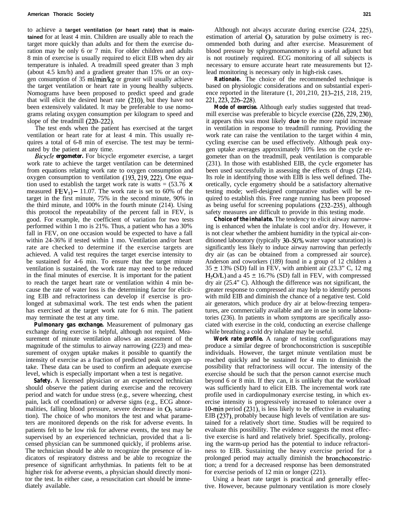to achieve a **target ventilation (or heart rate) that is maintained** for at least 4 min. Children are usually able to reach the target more quickly than adults and for them the exercise duration may be only 6 or 7 min. For older children and adults 8 min of exercise is usually required to elicit EIB when dry air temperature is inhaled. A treadmill speed greater than 3 mph (about 4.5 km/h) and a gradient greater than 15% or an oxygen consumption of 35 ml/min/kg or greater will usually achieve the target ventilation or heart rate in young healthy subjects. Nomograms have been proposed to predict speed and grade that will elicit the desired heart rate  $(210)$ , but they have not been extensively validated. It may be preferable to use nomograms relating oxygen consumption per kilogram to speed and slope of the treadmill  $(220-222)$ .

The test ends when the patient has exercised at the target ventilation or heart rate for at least 4 min. This usually requires a total of 6-8 min of exercise. The test may be terminated by the patient at any time.

*Bicycle ergometer.* For bicycle ergometer exercise, a target work rate to achieve the target ventilation can be determined from equations relating work rate to oxygen consumption and oxygen consumption to ventilation (193,219,222). One equation used to establish the target work rate is watts = (53.76 **X** measured  $FEV_1$ ) - 11.07. The work rate is set to 60% of the target in the first minute, 75% in the second minute, 90% in the third minute, and 100% in the fourth minute (214). Using this protocol the repeatability of the percent fall in FEV, is good. For example, the coefficient of variation for two tests performed within 1 mo is 21%. Thus, a patient who has a 30% fall in FEV, on one occasion would be expected to have a fall within 24-36% if tested within 1 mo. Ventilation and/or heart rate are checked to determine if the exercise targets are achieved. A valid test requires the target exercise intensity to be sustained for 4-6 min. To ensure that the target minute ventilation is sustained, the work rate may need to be reduced in the final minutes of exercise. It is important for the patient to reach the target heart rate or ventilation within 4 min because the rate of water loss is the determining factor for eliciting EIB and refractoriness can develop if exercise is prolonged at submaximal work. The test ends when the patient has exercised at the target work rate for 6 min. The patient may terminate the test at any time.

**Pulmonary gas exchange.** Measurement of pulmonary gas exchange during exercise is helpful, although not required. Measurement of minute ventilation allows an assessment of the magnitude of the stimulus to airway narrowing (223) and measurement of oxygen uptake makes it possible to quantify the intensity of exercise as a fraction of predicted peak oxygen uptake. These data can be used to confirm an adequate exercise level, which is especially important when a test is negative.

*Safety.* A licensed physician or an experienced technician should observe the patient during exercise and the recovery period and watch for undue stress (e.g., severe wheezing, chest pain, lack of coordination) or adverse signs (e.g., ECG abnormalities, falling blood pressure, severe decrease in  $O_2$  saturation). The choice of who monitors the test and what parameters are monitored depends on the risk for adverse events. In patients felt to be low risk for adverse events, the test may be supervised by an experienced technician, provided that a licensed physician can be summoned quickly, if problems arise. The technician should be able to recognize the presence of indicators of respiratory distress and be able to recognize the presence of significant arrhythmias. In patients felt to be at higher risk for adverse events, a physician should directly monitor the test. In either case, a resuscitation cart should be immediately available.

Although not always accurate during exercise (224, 225). estimation of arterial  $O<sub>2</sub>$  saturation by pulse oximetry is recommended both during and after exercise. Measurement of blood pressure by sphygmomanometry is a useful adjunct but is not routinely required. ECG monitoring of all subjects is necessary to ensure accurate heart rate measurements but 12 lead monitoring is necessary only in high-risk cases.

**Rationale.** The choice of the recommended technique is based on physiologic considerations and on substantial experience reported in the literature (1, 201,210, 213-215, 218, 219, 221,223,226-228).

*Mode of exercise.* Although early studies suggested that treadmill exercise was preferable to bicycle exercise (226,229,230), it appears this was most likely **due** to the more rapid increase in ventilation in response to treadmill running. Providing the work rate can raise the ventilation to the target within 4 min, cycling exercise can be used effectively. Although peak oxygen uptake averages approximately 10% less on the cycle ergometer than on the treadmill, peak ventilation is comparable (231). In those with established EIB, the cycle ergometer has been used successfully in assessing the effects of drugs (214). Its role in identifying those with EIB is less well defined. Theoretically, cycle ergometry should be a satisfactory alternative testing mode; well-designed comparative studies will be required to establish this. Free range running has been proposed as being useful for screening populations (232-235), although safety measures are difficult to provide in this testing mode.

*Choice of the inhalate.* The tendency to elicit airway narrowing is enhanced when the inhalate is cool and/or dry. However, it is not clear whether the ambient humidity in the typical air-conditioned laboratory (typically  $30-50\%$  water vapor saturation) is significantly less likely to induce airway narrowing than perfectly dry air (as can be obtained from a compressed air source). Anderson and coworkers (189) found in a group of 12 children a  $35 \pm 13$ % (SD) fall in FEV, with ambient air (23.3" C, 12 mg H<sub>2</sub>O/L) and a 45  $\pm$  16.7% (SD) fall in FEV, with compressed dry air (25.4" C). Although the difference was not significant, the greater response to compressed air may help to identify persons with mild EIB and diminish the chance of a negative test. Cold air generators, which produce dry air at below-freezing temperatures, are commercially available and are in use in some laboratories (236). In patients in whom symptoms are specifically associated with exercise in the cold, conducting an exercise challenge while breathing a cold dry inhalate may be useful.

*Work rate profile.* A range of testing configurations may produce a similar degree of bronchoconstriction is susceptible individuals. However, the target minute ventilation must be reached quickly and be sustained for 4 min to diminish the possibility that refractoriness will occur. The intensity of the exercise should be such that the person cannot exercise much beyond 6 or 8 min. If they can, it is unlikely that the workload was sufficiently hard to elicit EIB. The incremental work rate profile used in cardiopulmonary exercise testing, in which exercise intensity is progressively increased to tolerance over a 10-min period (231), is less likely to be effective in evaluating EIB (237), probably because high levels of ventilation are sustained for a relatively short time. Studies will be required to evaluate this possibility. The evidence suggests the most effective exercise is hard and relatively brief. Specifically, prolonging the warm-up period has the potential to induce refractoriness to EIB. Sustaining the heavy exercise period for a prolonged period may actually diminish the bronchoconstriction; a trend for a decreased response has been demonstrated for exercise periods of 12 min or longer (221).

Using a heart rate target is practical and generally effective. However, because pulmonary ventilation is more closely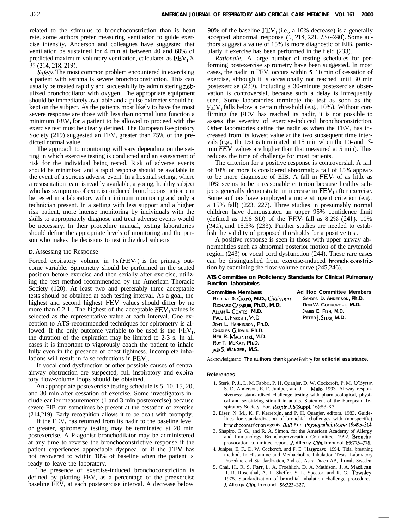related to the stimulus to bronchoconstriction than is heart rate, some authors prefer measuring ventilation to guide exercise intensity. Anderson and colleagues have suggested that ventilation be sustained for 4 min at between 40 and 60% of predicted maximum voluntary ventilation, calculated as  $FEV<sub>1</sub>X$ 35 (214,218,219).

Safety. The most common problem encountered in exercising a patient with asthma is severe bronchoconstriction. This can usually be treated rapidly and successfully by administering nebulized bronchodilator with oxygen. The appropriate equipment should be immediately available and a pulse oximeter should be kept on the subject. As the patients most likely to have the most severe response are those with less than normal lung function a minimum  $FEV<sub>1</sub>$  for a patient to be allowed to proceed with the exercise test must be clearly defined. The European Respiratory Society (219) suggested an FEV, greater than 75% of the predicted normal value.

The approach to monitoring will vary depending on the setting in which exercise testing is conducted and an assessment of risk for the individual being tested. Risk of adverse events should be minimized and a rapid response should be available in the event of a serious adverse event. In a hospital setting, where a resuscitation team is readily available, a young, healthy subject who has symptoms of exercise-induced bronchoconstriction can be tested in a laboratory with minimum monitoring and only a technician present. In a setting with less support and a higher risk patient, more intense monitoring by individuals with the skills to appropriately diagnose and treat adverse events would be necessary. In their procedure manual, testing laboratories should define the appropriate levels of monitoring and the person who makes the decisions to test individual subjects.

## **D.** Assessing the Response

Forced expiratory volume in  $1s (FEV<sub>1</sub>)$  is the primary outcome variable. Spirometry should be performed in the seated position before exercise and then serially after exercise, utilizing the test method recommended by the American Thoracic Society (120). At least two and preferably three acceptable tests should be obtained at each testing interval. As a goal, the highest and second highest  $FEV_1$  values should differ by no more than 0.2 L. The highest of the acceptable  $FEV<sub>1</sub>$  values is selected as the representative value at each interval. One exception to ATS-recommended techniques for spirometry is allowed. If the only outcome variable to be used is the  $FEV_1$ , the duration of the expiration may be limited to 2-3 s. In all cases it is important to vigorously coach the patient to inhale fully even in the presence of chest tightness. Incomplete inhalations will result in false reductions in  $FEV<sub>1</sub>$ .

If vocal cord dysfunction or other possible causes of central airway obstruction are suspected, full inspiratory and expiratory flow-volume loops should be obtained.

An appropriate postexercise testing schedule is 5, 10, 15, 20, and 30 min after cessation of exercise. Some investigators include earlier measurements (1 and 3 min postexercise) because severe EIB can sometimes be present at the cessation of exercise (214,219). Early recognition allows it to be dealt with promptly.

If the FEV, has returned from its nadir to the baseline level or greater, spirometry testing may be terminated at 20 min postexercise. A P-agonist bronchodilator may be administered at any time to reverse the bronchoconstrictive response if the patient experiences appreciable dyspnea, or if the  $FEV<sub>1</sub>$  has not recovered to within 10% of baseline when the patient is ready to leave the laboratory.

The presence of exercise-induced bronchoconstriction is defined by plotting FEV, as a percentage of the preexercise baseline FEV, at each postexercise interval. A decrease below

90% of the baseline  $FEV<sub>1</sub>$  (i.e., a 10% decrease) is a generally accepted abnormal response (1,218,221,237-240). Some authors suggest a value of 15% is more diagnostic of EIB, particularly if exercise has been performed in the field (233).

*Rationale.* A large number of testing schedules for performing postexercise spirometry have been suggested. In most cases, the nadir in FEV, occurs within S-10 min of cessation of exercise, although it is occasionally not reached until 30 min postexercise (239). Including a 30-minute postexercise observation is controversial, because such a delay is infrequently seen. Some laboratories terminate the test as soon as the  $FEV<sub>1</sub>$  falls below a certain threshold (e.g., 10%). Without confirming the  $FEV<sub>1</sub>$  has reached its nadir, it is not possible to assess the severity of exercise-induced bronchoconstriction. Other laboratories define the nadir as when the FEV, has increased from its lowest value at the two subsequent time intervals (e.g., the test is terminated at 15 min when the 10- and 15min  $FEV<sub>1</sub>$  values are higher than that measured at 5 min). This reduces the time of challenge for most patients.

The criterion for a positive response is controversial. A fall of 10% or more is considered abnormal; a fall of 15% appears to be more diagnostic of EIB. A fall in  $FEV<sub>1</sub>$  of as little as 10% seems to be a reasonable criterion because healthy subjects generally demonstrate an increase in  $FEV<sub>1</sub>$  after exercise. Some authors have employed a more stringent criterion (e.g., a 15% fall) (223, 227). Three studies in presumably normal children have demonstrated an upper 95% confidence limit (defined as 1.96 SD) of the  $FEV_1$  fall as 8.2% (241), 10% (242), and 15.3% (233). Further studies are needed to establish the validity of proposed thresholds for a positive test.

A positive response is seen in those with upper airway abnormalities such as abnormal posterior motion of the arytenoid region (243) or vocal cord dysfunction (244). These rare cases can be distinguished from exercise-induced bronchoconstriction by examining the flow-volume curve (245,246).

**ATS Committee on Proficiency Standards for Clinical Pulmonary Function Laboratories**

| Committee Members               | <b>Ad Hoc Committee Members</b> |
|---------------------------------|---------------------------------|
| ROBERT 0. CRAPO, M.D., Chairman | SANDRA D. ANDERSON. Ph.D.       |
| RICHARD CASABURI, Ph.D., M.D.   | DON W. COCKCROFT, M.D.          |
| ALLAN L. COATES, M.D.           | JAMES E. FISH, M.D.             |
| PAUL L. ENRIGHT, M.D.           | PETER J. STERK, M.D.            |
| JOHN L. HANKINSON, Ph.D.        |                                 |
| CHARLES G. IRVIN, Ph.D.         |                                 |
| NEIL R. MACINTYRE, M.D.         |                                 |
| Roy T. McKay, Ph.D.             |                                 |
| JASK S. WANGER, M.S.            |                                 |

Acknowledgment: **The authors thank janet Emby for editorial assistance.**

#### **References**

- 1. Sterk, P. J., L. M. Fabbri, P. H. Quanjer, D. W. Cockcroft, P. M. O'Byme, S. D. Anderson, E. F. Juniper, and J. L. Malo. 1993. Airway responsiveness: standardized challenge testing with pharmacological, physical and sensitizing stimuli in adults. Statement of the European Respiratory Society. Eur. Respir. J. 6(Suppl. 16): 53-X3.
- 2. Eiser, N. M., K. F. Kerrebijn, and P. H. Quanjer, editors. 1983. Guidelines for standardization of bronchial challenges with (nonspecific) bronchoconstriction agents. Bull. Eur. Physiopathol. Respir.19:495-514.
- 3. Shapiro, G. G., and R. A. Simon, for the American Academy of Allergy and Immunology Bronchoprovocation Committee. 1992. Bronchoprovocation committee report. *J. Allergy Clin. Immunol.* 89:775-778.
- 4. Juniper, E. F., D. W. Cockcroft, and F. E. Hargreave. 1994. Tidal breathing method. In Histamine and Methacholine Inhalation Tests: Laboratory Procedure and Standardization, 2nd ed. Astra Draco AB, **Lund,** Sweden.
- 5. Chai, H., R. S. Farr, L. A. Froehlich, D. A. Mathison, J. A. MacLean, R. R. Rosenthal, A. L. Sheffer, S. L. Spector, and R. G. Townley. 1975. Standardization of bronchial inhalation challenge procedures. J. Allergy Clin. Immunol. 56:323-327.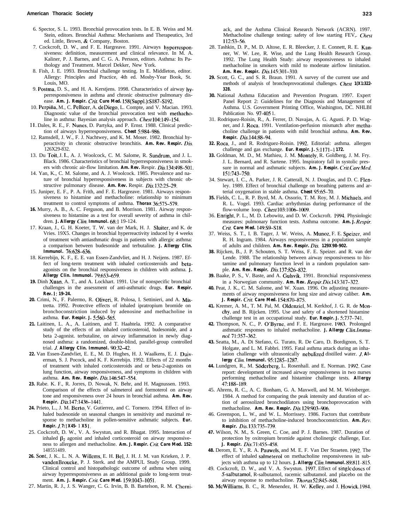#### **American Thoracic Society 323**

- 6. Spector, S. L. 1993. Bronchial provocation tests. In E. B. Weiss and M. Stein, editors. Bronchial Asthma: Mechanisms and Therapeutics, 3rd ed. Little, Brown, & Company, Boston.
- 7. Cockcroft, D. W., and F. E. Hargreave. 1991. Airways hyperresponsiveness: definition, measurement and clinical relevance. In M. A. Kaliner, P. J. Barnes, and C. G. A. Persson, editors. Asthma: Its Pathology and Treatment. Marcel Dekker, New York.
- 8. Fish, J. E. 1993. Bronchial challenge testing. In E. Middleton, editor. Allergy: Principles and Practice, 4th ed. Mosby-Year Book, St. Louis, MO.
- 9. Postma, D. S., and H. A. Kerstjens. 1998. Characteristics of airway hyperresponsiveness in asthma and chronic obstructive pulmonary disease. **Am. J. Respir.** Crit. Cure Med. 158(Suppl.):S187-S192.
- 10. Perpina, M., C. Pelhcer, A. deDiego, L. Compte, and V. Macian. 1993. Diagnostic value of the bronchial provocation test with methacholine in asthma: Bayesian analysis approach. Chesr 104:149-154.
- 11. Dales, R. E., F. Nunes. D. Partyka, and P. Ernst. 1988. Clinical prediction of airways hyperresponsiveness. *Chest* 5:984-986.
- 12. Ramsdell, J. W., F. J. Nachtwey, and K. M. Moser. 1982. Bronchial hyperactivity in chronic obstructive bronchitis. *Am. Rev. Respir. Dis.* 126X29-832.
- 13. Du Toit, J. I., A. J. Woolcock, C. M. Salome, R. Sundrum, and J. L. Black. 1986. Characteristics of bronchial hyperresponsiveness in smokers with chronic air-flow limitation. **Am. Rev.** Respir. *Dis*. 134:498-501.
- 14. Yan, K., C. M. Salome, and A. J. Woolcock. 1985. Prevalence and nature of bronchial hyperresponsiveness in subjects with chronic obstructive pulmonary disease. **Am. Rev.** Respir. *Dis.* 132:25-29.
- 15. Juniper, E. F., P. A. Frith, and F. E. Hargreave. 1981. Airways responsiveness to histamine and methacholine: relationship to minimum treatment to control symptoms of asthma. **Thorax** 36:575-579.
- *16.* Murry, A. B., A. C. Ferguson, and B. Morrison. 1981. Airway responsiveness to histamine as a test for overall severity of asthma in children. *J. Allergy Clin. Immunol. 6X:1* 19-124.
- 17. Kraan, J., G. H. Koeter, T. W. van der Mark, H. J. Sluiter, and K. de Vries. 19X5. Changes in bronchial hyperreactivity induced by 4 weeks of treatment with antiasthmatic drugs in patients with allergic asthma: a comparison between budesonide and terbutaline. *J. Allergy Clin. Immunol.* 76:628-636.
- 18. Kerrebijn, K. F., E. E. van Essen-Zandvliet, and H. J. Neijens. 1987. Effect of long-term treatment with inhaled corticosteroids and betaagonists on the bronchial responsiveness in children with asthma. *J. Allergy Clin. Immunol. 79653-659.*
- 19. Dinh Xuan, A. T., and A. Lockhart. 1991. Use of nonspecific bronchial challenges in the assessment of anti-asthmatic drugs. *Eur. Respir. Rev.* 1: *19-24.*
- *20.* Crimi, N., F. Palermo, R. Oliveri, R. Polosa, I. Settinieri, and A. Mistretta. 1992. Protective effects of inhaled ipratropium bromide on bronchoconstriction induced by adenosine and methacholine in asthma. *Eur. Respir. J.* 5:560-565.
- *21.* Laitinen, L. A., A. Laitinen, and T. Haahtela. 1992. A comparative study of the effects of an inhaled corticosteroid, budesonide, and a beta 2-agonist. terbutaline, on airway inflammation in newly diagnosed asthma: a randomized, double-blind, parallel-group controlled trial. *J. Allergy Clin. Immunol.* 90:32-42.
- *22.* Van Essen-Zandvliet, E. E., M. D. Hughes, H. J. Waalkens, E. J. Duiverman, S. J. Pocock, and K. F. Kerrebijn. 1992. Effects of 22 months of treatment with inhaled corticosteroids and or beta-2-agonists on lung function, airway responsiveness, and symptoms in children with asthma. *Am. Rev. Respir. Dis. 146:547-554.*
- 23. Rabe. K. F., R. Jorres, D. Nowak, N. Behr, and H. Magnussen. 1993. Comparison of the effects of salmeterol and formoterol on airway tone and responsiveness over 24 hours in bronchial asthma. *Am. Rev. Respir. Dis. 147:143&1441.*
- *24.* Prieto, L., J. M. Berto. V. Gutierrez, and C. Tornero. 1994. Effect of inhaled budesonide on seasonal changes in sensitivity and maximal response to methacholine in pollen-sensitive asthmatic subjects. *Eur. Respir. 1. 7: 1 X45-* 1 *X5* 1.
- 25. Cockcroft, D. W., V. A. Swystun, and R. Bhagat. 1995. Interaction of inhaled  $\beta_2$  agonist and inhaled corticosteroid on airway responsiveness to allergen and methacholine. *Am. J. Respir. Crif. Care Med. 152:* 148551489.
- *26.* Sent, J. K.. L. N. A. Willems, E. H. Bel, J. H. J. M. van Krieken, J. P. vandenBroucke, P. J. Sterk. and the AMPUL Study Group. 1999. Clinical control and histopathologic outcome of asthma when using airway hyperresponsiveness as an additional guide to long-term treatment. *Am. J. Respir. Crit. Care Med.* 159:1043-1051.
- 27. Martin, R. J., J. S. Wanger, C. G. Irvin, B. B. Bartelson, R. M. Cherni-

ack, and the Asthma Clinical Research Network (ACRN). 1997. Methacholine challenge testing: safety of low starting FEV,. *Chest* 112:53-56.

- 28. Tashkin, D. P., M. D. Altose, E. R. Bleecker, J. E. Connett, R. E. Kanner, W. W. Lee, R. Wise, and the Lung Health Research Group. 1992. The Lung Health Study: airway responsiveness to inhaled methacholine in smokers with mild to moderate airflow limitation. *Am. Rev. Respir. Dis. 145:301-310.*
- *29.* Scott, G. C., and S. R. Braun. 1991. A survey of the current use and methods of analysis of bronchoprovocational challenges. *Chest 1(X1:322- 328.*
- **30.** National Asthma Education and Prevention Program. 1997. Expert Panel Report 2: Guidelines for the Diagnosis and Management of Asthma. U.S. Government Printing Office, Washington, DC. NHLBI Publication No. 97-405 1.
- 31. Rodriquez-Roisin, R., A. Ferrer, D. Navajas, A. G. Agusti. P. D. Wagner, and J. Roca. 1991. Ventilation-perfusion mismatch after methacholine challenge in patients with mild bronchial asthma. *Am. Rev. Respir. Dis. 144:X8-94.*
- 32. Roca, J., and R. Rodriguez-Roisin. 1992. Editorial: asthma. allergen challenge and gas exchange. *Eur. Respir. J. 5:1171-l 172.*
- *33.* Goldman, M. D., M. Mathieu, J. M. Montely, R. Goldberg, J. M. Fry. J. L. Bernard, and R. Sartene. 1995. lnspiratory fall in systolic pressure in normal and asthmatic subjects. **Am. J. Respir.** Crit. Care Med. 151:743-750.
- 34. Stewart, I. C., A. Parker, J. R. Catterall, N. J. Douglas, and D. C. Flenley. 1989. Effect of bronchial challenge on breathing patterns and arterial oxygenation in stable asthma. *Chest 95:65-70.*
- *35.* Fields, C. L., R. P. Byrd, M. A. Ossorio, T. M. Roy, M. J. Michaels, and R. L. Vogel. 1993. Cardiac arrhythmias during performance of the flow-volume loop. *Chest* 103:1006-1009.
- 36. Enright, P. L., M. D. Lebowitz, and D. W. Cockcroft. 1904. Physiologic measures: pulmonary function tests. Asthma outcome. **Am. J. Respir.** *Crif. Care Med.* 149:S9-S18.
- 37. Weiss, S. T., I. B. Tager, J. W. Weiss, A. Munoz, F. E. Speizer. and R. H. Ingram. 1984. Airways responsiveness in a population sample of adults and children. *Am. Rev. Respir. Dis. 129X98-902.*
- *38.* Rijcken, B., J. P. Schouten, S. T. Weiss, F. E. Speizer. and R. van der Lende. 1988. The relationship between airway responsiveness to histamine and pulmonary function level in a random population sample. **Am. Rev. Respir.** *Dis*. 137:826-832.
- *39.* Baake, P. S., V. Baste, and A. Gulsvik. 1991. Bronchial responsiveness in a Norwegian community. **Am. Rev. Respir.** Dis.143:317-322.
- *40.* Peat, J. K., C. M. Salome, and W. Xuan. 1996. On adjusting measurements of airway responsiveness for lung size and airway caliber. *Am. J. Respir. Crit. Care Med.* 154:870-875.
- *41.* Kremer, A. M., T. M. Pal, M. Oldenziel, M. Kerkhof, J. G. R. de Monchy, and B. Rijcken. 1995. Use and safety of a shortened histamine challenge test in an occupational study. *Eur. Respir. J. 5:737-741.*
- 42. Thompson, N. C., P. O'Byrne, and F. E. Hargreave. 1983. Prolonged asthmatic responses to inhaled methacholine. *J. Allergy Clin. Immunol. 71~357-362.*
- *43.* Seatta, M., A. Di Stefano, G. Turato, R. De Caro, D. Bordignon, S. T. Holgate, and L. M. Fabbri. 1995. Fatal asthma attack during an inhalation challenge with ultrasonically nebulized distilled water. *J. Allergy Clin. Immunol. 95:1285-3287.*
- 44. Lundgren, R., M. Söderberg, L. Rosenhall. and E. Norman. 1992. Case report: development of increased airway responsiveness in two nurses performing methacholine and histamine challenge tests. *Allergy* 47:188-189.
- 45. Ahrens, R. C., A. C. Bonham, G. A. Maxwell, and M. M. Weinberger. 1984. A method for comparing the peak intensity and duration of action of aerosolized bronchodilators using bronchoprovocation with methacholine. **Am. Rev. Respir.** Dis.129:903-906.
- 46. Greenspon, L. W., and W. L. Morrissey. 1986. Factors that contribute to inhibition of methacholine-induced bronchoconstriction. *Am. Rev. Respir. Dis.* 133:735-739.
- *47.* Wilson, N. M., S. Green, C. Coe, and P. J. Barnes. 1987. Duration of protection by oxitropium bromide against cholinergic challenge, Eur. *J. Respir. Dis.* 71:455-458.
- *48.* Derom, E. Y., R. A. Pauwels, and M. E. F. Van Der Straeten. 1902. The effect of inhaled salmeterol on methacholine responsiveness in subjects with asthma up to 12 hours. *J. Allergy Clin. Immunol.* 89:811-815.
- 49. Cockcroft, D. W., and V. A. Swystun. 1997. Effect of single doses of S-salbutamol, R-salbutamol, racemic salbutamol. and placebo on the airway response to methacholine. *Thorax* 52:845-848.
- *50.* McWilliams, B. C., R. Menendez, H. W. Kelley. and J. Howick. 19X4.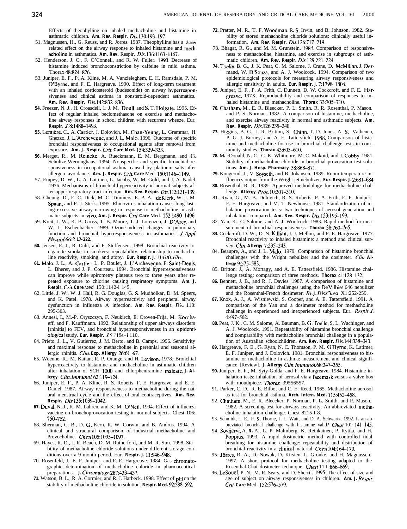Effects of theophylline on inhaled methacholine and histamine in asthmatic children. **Am. Rev. Respir.** Dis.130:193-197.

- 51. Magnussen, H., G. Reuss, and R. Jorres. 1987. Theophylline has a doserelated effect on the airway response to inhaled histamine and methacholine in asthmatics. *Am. Rev.* Respir. *Dis.* 136:1163-1167.
- 52. Henderson, J. C., F. O'Connell, and R. W. Fuller. 1993. Decrease of histamine induced bronchoconstriction by caffeine in mild asthma. Thorax 48:824-826.
- 53. Juniper, E. F., P. A. Kline, M. A. Vanzieleghem, E. H. Ramsdale, P. M. O'Byrne, and F. E. Hargreave. 1990. Effect of long-term treatment with an inhaled corticosteroid (budesonide) on airway hyperresponsiveness and clinical asthma in nonsteroid-dependent asthmatics. *Am. Rev. Respir. Dis. 142:832-836.*
- *54.* Freezer, N. J., H. Croasdell, 1. J. M. Doull, and S. T. Holgate. 1995. Effect of regular inhaled beclomethasone on exercise and methacholine airway responses in school children with recurrent wheeze. Eur. *Respir. J.8:1488-1493.*
- *55.* Lemiere, C., A. Cartier, J. Dolovich, M. Chan-Yeung, L. Grammar, H. Ghezzo, J. L'Archeveque, and J. L. Malo. 1996. Outcome of specific bronchial responsiveness to occupational agents after removal from exposure. *Am. J. Respir. Crit. Care Med. 154:329-333.*
- *56.* Merget, R., M. Reineke, A. Rueckmann, E. M. Bergmann, and G. Schultze-Werninghaus. 1994. Nonspecific and specific bronchial responsiveness in occupational asthma caused by platinum salts after allergen avoidance. *Am. J. Respir. Crit. Care* Med. 150:1146-1149.
- 57. Empey, D. W., L. A. Laitinen, L. Jacobs, W. M. Gold, and J. A. Nadel. 1976. Mechanisms of bronchial hyperreactivity in normal subjects after upper respiratory tract infection. *Am. Rev. Respir. Dis.* 113131-139.
- 58. Cheung, D., E. C. Dick, M. C. Timmers, E. P. A. deKlerk, W. J. M. Spaan, and P. J. Sterk. 1995. Rhinovirus inhalation causes long-lasting excessive airway narrowing in response to methacholine in asthmatic subjects in vivo. Am. J. Respir. Crit. Care Med. 152:1490-1496.
- 59. Kreit, J. W., K. B. Gross, T. B. Moore, T. J. Lorenzen, J. D'Arcy, and W. L. Eschenbacher. 1989. Ozone-induced changes in pulmonary function and bronchial hyperresponsiveness in asthmatics. *J. Appl. Physiol. 6612 17-222.*
- *60.* Jensen, E. J., R. Dahl, and F. Steffensen. 1998. Bronchial reactivity to cigarette smoke in smokers: repeatability, relationship to methacholine reactivity, smoking, and atopy. *Eur. Respir. J. 11:670-676.*
- *61.* Malo, J. L., A. Cartier, L. P. Boulet, J. L'Archeveque, F. Saint-Denis, L. Bherer, and J. P. Courteau. 1994. Bronchial hyperresponsiveness can improve while spirometry plateaus two to three years after repeated exposure to chlorine causing respiratory symptoms. *Am. J. Respir. Crit. Care Med.* 150:1142-l 145.
- 62. Little, J. W., W. J. Hall, R. G. Douglas, G. S. Mudholkar, D. M. Speers, and K. Patel. 1978. Airway hyperreactivity and peripheral airway dysfunction in influenza A infection. *Am. Rev. Respir. Dis.* 118: 295-303.
- 63. Annesi, I., M.-P. Oryszczyn, F. Neukirch, E. Oroven-Frija, M. Korobaeff, and F. Kauffmann. 1992. Relationship of upper airways disorders [rhinitis] to FEV, and bronchial hyperresponsiveness in an epidemiological study. *Eur. Respir. J. 5:1104-l* 110.
- 64. Prieto, J. L., V. Gutierrez, J. M. Berto, and B. Camps. 1996. Sensitivity and maximal response to methacholine in perennial and seasonal allergic rhinitis. *Clin. Exp. Allergy 26:61-67.*
- 65. Woenne, R., M. Kattan, R. P. Orange, and H. Levison. 1978. Bronchial hyperreactivity to histamine and methacholine in asthmatic children after inhalation of SCH 1000 and chlorpheniramine maleate. J. Al*lergy Clin. Immunol.* 62:119-124.
- 66. Juniper, E. F., P. A. Kline, R. S. Roberts, F. E. Hargreave, and E. E. Daniel. 1987. Airway responsiveness to methacholine during the natural menstrual cycle and the effect of oral contraceptives. *Am. Rev. Respir. Dis. 135:1039-1042.*
- *67.* Duval, N. J., K. M. Lahren, and K. M. O'Neil. 1994. Effect of influenza vaccine on bronchoprovocation testing in normal subjects. Chest 106: 750-752.
- 68. Sherman, C. B., D. G. Kern, R. W. Corwin, and B. Andrus. 1994. A clinical and structural comparison of industrial methacholine and Provocholine. Chest 105:1095-1097.
- 69. Hayes, R. D., J. R. Beach, D. M. Rutherford, and M. R. Sim. 1998. Stability of methacholine chloride solutions under different storage conditions over a 9 month period. Eur. Respir. J. 11:946-948.
- 70. Rosenfeld, J., E. F. Juniper, and F. E. Hargreave. 1984. Gas chromatographic determination of methacholine chloride in pharmaceutical preparations. *J. Chromafogr. 287:433-437.*
- *71.* Watson, B. L., R. A. Cormier, and R. J. Harbeck. 1998. Effect of pH on the stability of methacholine chloride in solution. **Respir. Med. 92:588-592**.
- *72.* Pratter, M. R., T. F. Woodman, R. S. Irwin, and B. Johnson. 1982. Stability of stored methacholine chloride solutions: clinically useful information. *Am. Rev. Respir. Dis.* 126:717-719.
- 73. Bhagat, R. G., and M. M. Grunstein. 1984. Comparison of responsiveness to methacholine, histamine, and exercise in subgroups of asthmatic children. *Am. Rev. Respir. Dis.* 129:221-224.
- *74.* Toelle, B. G., J. K. Peat, C. M. Salome, J. Crane, D. McMillan, J. Dermand, W. D'Souza, and A. J. Woolcock. 1994. Comparison of two epidemiological protocols for measuring airway responsiveness and allergic sensitivity in adults. **Eur. Respir. J.** 7:1798-1804.
- *75.* Juniper, E. F., P. A. Frith, C. Dunnett, D. W. Cockcroft. and F. E. Hargreave. 197X. Reproducibility and comparison of responses to inhaled histamine and methacholine. *Thorax 33:705-710.*
- *76.* Chatham, M., E. R. Bleecker. P. L. Smith. R. R. Rosenthal, P. Mason. and P. S. Norman. 1982. A comparison of histamine, methacholine, and exercise airway reactivity in normal and asthmatic subjects. *Am. Rev. Respir. Dis. 126235-240.*
- *77.* Higgins, B. G., J. R. Britton, S. Chinn, T. D. Jones, A. S. Vathenen, P. G. J. Burney, and A. E. Tattersfield. 1988. Comparison of histamine and methacholine for use in bronchial challenge tests in community studies. **Thorax** 43:605-610.
- *78.* MacDonald, N. C., C. K. Whitmore. M. C. Makoid, and J. Cobby. 1981. Stability of methacholine chloride in bronchial provocation test solutions. *Am. J. Hosp. Pharmacy* 38:868-871.
- *79.* Kongerud, J., V. Soyseth, and B. Johansen. 1989. Room temperature influences output from the Wright jet nebulizer. **Eur. Respir. J.** 2:681-684.
- *80.* Rosenthal, R. R. 1989. Approved methodology for methacholine challenge. *Allergy Proc.* 10:301-310.
- 81. Ryan, G., M. B. Dolovich, R. S. Roberts, P. A. Frith, E. F. Juniper, F. E. Hargreave, and M. T. Newhouse. 1981. Standardization of inhalation provocation tests: two techniques of aerosol generation and inhalation compared. *Am. Rev. Respir. Dis.* 123:195-199.
- 82. Yan, K., C. Salome, and A. J. Woolcock. 1983. Rapid method for measurement of bronchial responsiveness. **Thorax** 38:760-765.
- *83.* Cockcroft, D. W., D. N. Killian, J. J. Mellon, and F. E. Hargreave. 1977. Bronchial reactivity to inhaled histamine: a method and clinical survey. *Clin. Allergy* 7:235-243.
- 84. Beaupre, A., and J. L. Malo. 1979. Comparison of histamine bronchial challenges with the Wright nebulizer and the dosimeter. *Clin. Allergy* 9:575-583.
- 85. Britton, J., A. Mortagy, and A. E. Tattersfield. 1986. Histamine challenge testing: comparison of three methods. *Thorax 41:128-132.*
- *86.* Bennett, J. B., and R. J. Davies. 1987. A comparison of histamine and methacholine bronchial challenges using the DeVilbiss 646 nebulizer and the Rosenthal-French dosimeter. *Br. J. Dis. Chest* X1:252-259.
- *87.* Knox, A. J., A. Wisniewski, S. Cooper, and A. E. Tattersfield. 1991. A comparison of the Yan and a dosimeter method for methacholine challenge in experienced and inexperienced subjects. Eur. *Rrspir. J. 4497-502.*
- *88.* Peat, J. K., C. M. Salome, A. Bauman, B. G. Toelle, S. L. Wachinger, and A. J. Woolcock. 1991. Repeatability of histamine bronchial challenge and comparability with methacholine bronchial challenge in a population of Australian schoolchildren. **Am. Rev. Respir.** Dis. 144:338-343.
- *89.* Hargreave, F. E., G. Ryan, N. C. Thomson, P. M. O'Byrne, K. Latimer, E. F. Juniper, and J. Dolovich. 1981. Bronchial responsiveness to histamine or methacholine in asthma: measurement and clinical significance [Review]. *J. Allergy Clin. Immunol. 68:347-355.*
- *90.* Juniper, E. F., M. Syty-Golda, and F. E. Hargreave. 1984. Histamine inhalation tests: inhalation of aerosol via a facemask versus a valve box with mouthpiece. Thorax 39556557.
- 91. Parker, C. D., R. E. Bilbo, and C. E. Reed. 1965. Methacholine aerosol as test for bronchial asthma. **Arch. Intern. Med.** 115:452-458.
- 92. Chatham, M., E. R. Bleecker, P. Norman, P. L. Smith, and P. Mason. 1982. A screening test for airways reactivity. An abbreviated methacholine inhalation challenge. Chest 8215-I 8.
- 93. Schmidt, L. E., P. S. Thorne, J. L. Watt, and D. A. Schwartz. 1992. Is an abbreviated bronchial challenge with histamine valid? *Chest* 101:141-145.
- 94. Sovijarvi, A. *R.* A., L. P. Malmberg. K. Reinkainen, P. Rytila. and H. Poppius. 1993. A rapid dosimetric method with controlled tidal breathing for histamine challenge: repeatability and distribution of bronchial reactivity in a clinjcal material. Chest 104:164-170.
- 95. Jorres, R. A., D. Nowak, D. Kirsten, L. Gronke, and H. Magnussen. 1997. A short protocol for methacholine testing adapted to the Rosenthal-Chai dosimeter technique. Chest 11 I :866-869.
- 96. LeSouef, P. N., M. R. Sears, and D. Sherril. 1995. The effect of size and age of subject on airway responsiveness in children. *Am. J. Respir. Crit. Care Med.* 152:576-579.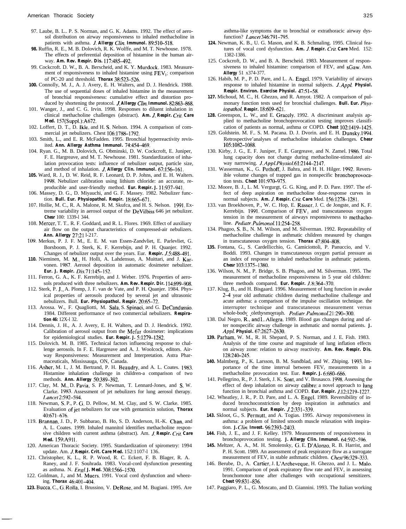- 97. Laube, B. L.. P. S. Norman, and G. K. Adams. 1992. The effect of aerosol distribution on airway responsiveness to inhaled methacholine in patients with asthma. J. *Allergy Clin. Immunol. 89:510-518.*
- *98.* Ruffin, R. E., M. B. Dolovich, R. K. Wolffe, and M. T. Newhouse. 1978. The effects of preferential deposition of histamine in the human airway. *Am. Rev. Respir. Dis.* 117:485-492.
- 99. Cockcroft. D. W., B. A. Berscheid, and K. Y. Murdock. 1983. Measurement of responsiveness to inhaled histamine using  $FEV<sub>1</sub>$ : comparison of PC-20 and threshold. *Thorax 38:523-526.*
- *100.* Connolly, M. J., A. J. Avery, E. H. Walters, and D. J. Hendrick. 1988. The use of sequential doses of inhaled histamine in the measurement of bronchial responsiveness: cumulative effect and distortion produced by shortening the protocol. J. Allergy Clin. Immunol. 82:863-868.
- 101. Wanger, J., and C. G. Irvin. 1998. Responses to diluent inhalation in clinical methacholine challenges (abstract). *Am. J. Respir. Crit. Care Med.* 157(Suppl.):A672.
- 102. Loffert, D. T., D. Ikle, and H. S. Nelson. 1994. A comparison of commercial jet nebulizers. Chest 106:1788-1792.
- 103. Smith, L., and E. R. McFadden. 1995. Bronchial hyperreactivity revisited. **Ann. Allergy Asthma Immunol.** 74:454-469.
- 104. Ryan. G., M. B. Dolovich, G. Obminski, D. W. Cockcroft, E. Juniper, F. E. Hargreave, and M. T. Newhouse. 1981. Standardization of inhalation provocation tests: influence of nebulizer output, particle size, and method of inhalation. J. *Allergy Clin. Immunol. 67:156-161.*
- *105.* Ward, R. J., D. W. Reid, R. F. Leonard, D. P. Johns, and E. H. Walters. 1908. Nebulizer calibration using lithium chloride: an accurate, reproducible and user-friendly method. *Eur. Respir. J.* 11:937-941.
- 106. Massey, D. G., D. Miyauchi, and G. F. Massey. 1982. Nebulizer function. *Bull. Eur. Physiopathol. Respir.* 18:665-671.
- 107. Hollie, M. C., R. A. Malone, R. M. Skufca, and H. S. Nelson. 1991. Extreme variability in aerosol output of the DeVilbiss 646 jet nebulizer. *Chesr* 100: 1339-l 344.
- 108. Mercer, T. T.. R. F. Goddard, and R. L. Flores. 1969. Effect of auxiliary air flow on the output characteristics of compressed-air nebulizers. **Ann. Allergy 27:21 1-217.**
- 1OY. Merkus, P. J. F. M., E. E. M. van Essen-Zandvliet, E. Parlevliet, G. Borsboom, P. J. Sterk, K. F. Kerrebijn, and P. H. Quanjer. 1992. Changes of nebulizer output over the years. Eur. *Respir. J. 5488-491.*
- *110.* Nieminen, M. M.. H. Holli, A. Lahdensuo, A. Muittari, and J. Karvonen. 19X7. Aerosol deposition in automatic dosimeter nebulizer. *Eur. J. Respir.* Dis. 71:145-152.
- 111. Ferron, G. A., K. F. Kerrebijn, and J. Weber. 1976. Properties of aerosols produced with three nebulizers. *Am. Rev. Respir. Dir. 114899-908.*
- 112. Sterk, P. J.. A. Plomp, J. F. van de Vate, and P. H. Quanjer. 1984. Physical properties of aerosols produced by several jet and ultrasonic nebulizers. Bull. *Eur. Physiopathol. Respir. 20:65-72.*
- 113. Arossa. W., F. Quagliotti, M. Sala, S. Spinaci, and G. DeCandussio. 1984. Different performance of two commercial nebulizers. *Respiration 46:* 12X-l 32.
- 114. Dennis, J. H., A. J. Avery, E. H. Walters, and D. J. Hendrick. 1992. Calibration of aerosol output from the Mefar dosimeter: implications for epidemiological studies. *Eur. Respir. J.* 5:1279-1282.
- 115. Dolovich. M. B. 1985. Technical factors influencing response to challenge aerosols. In F. E. Hargreave and A. J. Woolcock, editors. Airway Responsiveness: Measurement and Interpretation. Astra Pharmaceuticals, Mississauga, ON, Canada.
- 116. Asher. M. I., J. M. Bertrand, P. H. Beaudry, and A. L. Coates. 1983. Histamine inhalation challenge in children-a comparison of two methods. *Ann. Allergy 50:389-392.*
- 117. Clay, M. M.. D. Pavia, S. P. Newman, T. Lennard-Jones, and S. W. Clarke. 1983. Assessment of jet nebulizers for lung aerosol therapy. *Lancrt* 2:5Y2-5Y4.
- 118. Newman, S. P., P. G. D. Pellow, M. M. Clay, and S. W. Clarke. 1985. Evaluation of jet nebulizers for use with gentamicin solution, **Thorax** *40:671-676.*
- 119. Brannan, J. D., P. Subbarao, B. Ho, S. D. Anderson, H.-K. Chan, and A. L. Coates. 1999. Inhaled mannitol identifies methacholine responsive children with current asthma (abstract). Am. *J. Respir. Crit. Care Med.* 159:A911
- 120. American Thoracic Society. 1995. Standardization of spirometry: 1994 update. Am. *J. Respir. Crit. Care Med.* 152:1107-l 136.
- 121. Christopher, K. L., R. P. Wood, R. C. Eckert, F. B. Blager, R. A. Raney, and J. F. Souhrada. 1983. Vocal-cord dysfunction presenting as asthma. N. *Engl. J. Med.* 308:1566-1570.
- 122. Goldman, J., and M. Muers. 1991. Vocal cord dysfunction and wheezing. *Thorax 46:401-404.*
- *123.* Bucca, C., G. Rolla, I. Brussino, V. DeRose, and M. Bugiani. 1995. Are

asthma-like symptoms due to bronchial or extrathoracic airway dysfunction? *Lancet 346:791-795.*

- *124.* Newman, K. B., U. G. Mason, and K. B. Schmaling. 1995. Clinical features of vocal cord dysfunction. *Am. J. Respir. Crit. Care* Med. 152: 1382-1386.
- 125. Cockcroft, D. W., and B. A. Berscheid. 1983. Measurement of responsiveness to inhaled histamine: comparison of FEV, and sGaw. Ann. *Allergy* 51 x374-377.
- 126. Habib, M. P., P. D. Pare, and L. A. Engel. 1979. Variability of airways response to inhaled histamine in normal subjects. *J. Appl. Physiol. Respir. Environ. Exercise Physiol. 47:51-58.*
- 127. Michoud, M. C., H. Ghezzo, and R. Amyot. 1982. A comparison of pulmonary function tests used for bronchial challenges. *Bull. Eur. Physiopathol.* Respir. 18:609-621.
- *128.* Greenspon, L. W., and E. Gracely. 1992. A discriminant analysis applied to methacholine bronchoprovocation testing improves classification of patients as normal, asthma or COPD. *Chest* 102:1419-1425.
- 129. Goldstein. M. F.. S. M. Pacana. D. J. Dvorin. and E. H. Dunsky. 1994. Retrospective'analyses of methacholine inhalation challenges. *Chesr* 105:1082-1088.
- 130. Kirby, J. G., E. F. Juniper, F. E. Gargreave, and N. Zamel. 1986. Total lung capacity does not change during methacholine-stimulated airway narrowing. *J. Appl. Physiol.* 61:2144-2147.
- 131. Wasserman, K., G. Pothoff, J. Bahra, and H. H. Hilger. 1992. Reversible volume changes of trapped gas in nonspecific bronchoprovocation tests. *Chest* 101:970-975.
- 132. Moore, B. J., L. M. Vergurgt, G. G. King, and P. D. Pare. 1997. The effect of deep aspiration on methacholine dose-response curves in normal subjects. *Am. J. Respir. Crit. Care* Med. 156:1278-1281.
- 133. van Broekhoven, P., W. C. Hop, E. Rasser. J. C. de Jongste, and K. F. Kerrebijn. 1991. Comparison of  $FEV<sub>1</sub>$  and transcutaneous oxygen tension in the measurement of airways responsiveness to methacholine. *Pediatr. Pulmonol.* 11:254-258.
- 134. Phagoo, S. B., N. M. Wilson, and M. Silverman. 1992. Repeatability of methacholine challenge in asthmatic children measured by changes in transcutaneous oxygen tension. *Thorax 47:804-808.*
- *135.* Fontana, G., S. Cardellicchio, G. Camiciottoli, P. Panuccio, and V. Boddi. 1993. Changes in transcutaneous oxygen partial pressure as an index of response to inhaled methacholine in asthmatic patients. *Chesr* 103:1375-1380.
- 136. Wilson, N. M., P. Bridge, S. B. Phagoo, and M. Silverman. 1995. The measurement of methacholine responsiveness in 5 year old children: three methods compared. *Eur. Respir. J.* 8:364-370.
- 137. Klug, B., and H. Bisgaard. 1996. Measurement of lung function in awake 2-4 year old asthmatic children during methacholine challenge and acute asthma: a comparison of the impulse oscillation technique. the interrupter technique and transcutaneous measurement versus whole-bodv olethvsmoerauh. *Pediatr. Pulmonol. 21:290-300.*
- 138. Dal Negro, R., and L. Allegra. 1989. Blood gas changes during and after nonspecific airway challenge in asthmatic and normal patients. *J. Appl. Physiol. 67:2627-2630.*
- *139.* Parham, W. M., R. H. Shepard, P. S. Norman, and J. E. Fish. 1983. Analysis of the time course and magnitude of lung inflation effects on airway zone: relation to airway reactivity. *Am. Rev. Respir. Dis. 128:240-245.*
- *140.* Malmberg, P., K. Larsson, B. M. Sundblad, and W. Zhiping. 1993. Importance of the time interval between FEV, measurements in a methacholine provocation test. Eur. Respir. J. 6:680-686.
- 141. Pellegrino, R., P. J. Sterk, J. K. Sent, and V. Brusasco. 1998. Assessing the effect of deep inhalation on airway calibre: a novel approach to lung function in bronchial asthma and COPD. **Eur. Respir.** *J*.12:1219-1227.
- 142. Wheatley, J. R., P. D. Pare, and L. A. Engel. 1989. Reversibility of induced bronchoconstriction by deep inspiration in asthmatics and normal subjects. *Eur. Respir. J. 2:331-339.*
- *143.* Skloot, G., S. Permutt, and A. Togias. 1995. Airway responsiveness in asthma: a problem of limited smooth muscle relaxation with inspiration. *J. Clin. Invest. 96:2393-2403.*
- *144.* Fish, J. E., and J. F. Kelley. 1979. Measurements of responsiveness in bronchoprovocation testing. *J. Allergy Clin. Immunol. 64:592-596.*
- *145.* Meltzer, A. A., M. H. Smolensky, G. E. D'Alonzo, R. B. Harrist, and P. H. Scott. 1989. An assessment of peak respiratory flow as a surrogate measurement of FEV, in stable asthmatic children. *Chest* 96:329-333.
- 146. Berube, D., A. Cartier, J. L'Archeveque, H. Ghezzo, and J. L. Malo. 1991. Comparison of peak expiratory flow rate and FEV, in assessing bronchomotor tone after challenges with occupational sensitizers. *Chest* 99:831-836.
- 147. Paggiaro, P. L., G. Moscato, and D. Giannini. 1993. The Italian working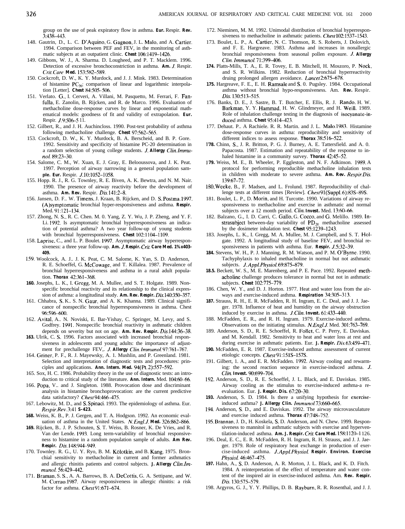group on the use of peak expiratory flow in asthma. *Eur.* Respir. *Rev.* 3:438443.

- 148. Gautrin, D., L. C. D'Aquino, G. Gagnon, J. L. Malo, and A. Cartier. 1994. Comparison between PEF and FEV, in the monitoring of asthmatic subjects at an outpatient clinic. **Chest** 106:1419-1426.
- 149. Gibbons, W. J., A. Sharma. D. Lougheed, and P. T. Macklem. 1996. Detection of excessive bronchoconstriction in asthma. *Am. J.* Respir. Crit. Care Med. 153:582-589.
- 150. Cockcroft, D. W., K. Y. Murdock, and J. J. Mink. 1983. Determination of histamine  $PC_{20}$ : comparison of linear and logarithmic interpolation [Letter]. **Chest** 84:505-506.
- 151. Verlato. G., I. Cerveri, A. Villani, M. Pasquetto, M. Ferrari, F. Fanfulla, E. Zanolin, B. Rijcken, and R. de Marco. 1996. Evaluation of methacholine dose-response curves by linear and exponential mathematical models: goodness of fit and validity of extrapolation. *Eur.* Respir. *J*.9:506-5 11.
- 152. Gilbert, R., and J. H. Auchincloss. 1990. Post-test probability of asthma following methacholine challenge. **Chest 97:562-565.**
- 153. Cockcroft, D. W., K. Y. Murdock, B. A. Berscheid, and B. P. Gore. 1992. Sensitivity and specificity of histamine PC-20 determination in a random selection of young college students. *J. Allergy Clin. Immunol.* 89:23-30.
- 154. Salome, C. M., W. Xuan, E. J. Gray, E. Belooussova, and J. K. Peat. 1997. Perception of airway narrowing in a general population sam**ple.** *Eur.* Respir. J. 10:1052-1058.
- 155. Hopp. R. J., R. G. Townley, R. E. Biven, A. K. Bewtra, and N. M. Nair. 1990. The presence of airway reactivity before the development of asthma. *Am. Rev.* Respir. *Dis.* 141:2-8.
- 156. Jansen, D. F.. W. Timens, J. Kraan, B. Rijcken, and D. S. Postma. 1997. (A)symptomatic bronchial hyper-responsiveness and asthma. *Respir.* Med. 91:121-134.
- 157. Zhong, N. S., R. C. Chen. M. 0. Yang, Z. Y. Wu, J. P. Zheng, and Y. F. Li. 1992. Is asymptomatic bronchial hyperresponsiveness an indication of potential asthma? A two year follow-up of young students with bronchial hyperresponsiveness. *Chest* 102:1104-1109.
- 158. Laprise, C., and L. P. Boulet. 1997. Asymptomatic airway hyperresponsiveness: a three year follow-up. *Am. J. Respir. Crif. Care Med. 1%x403- 409.*
- *159.* Woolcock, A. J.. J. K. Peat, C. M. Salome, K. Yan, S. D. Anderson, R. E. Schoeffel, G. McCowage, and T. Killalea. 1987. Prevalence of bronchial hyperresponsiveness and asthma in a rural adult population. *Thorax 42:361-368.*
- 160. Josephs, L. K., I. Gregg, M. A. Mullee, and S. T. Holgate. 1989. Nonspecific bronchial reactivity and its relationship to the clinical expression of asthma: a longitudinal study. **Am. Rev. Respir.** Dis. 140:350-357.
- 161. Chhabra, S. K.. S. N. Gaur, and A. K. Khanna. 1989. Clinical significance of nonspecific bronchial hyperresponsiveness in asthma. Chest 96:596-600.
- 162. Avital. A.. N. Noviski, E. Bar-Yishay, C. Springer, M. Levy, and S. Godfrey. 1991. Nonspecific bronchial reactivity in asthmatic children depends on severity but not on age. **Am. Rev. Respir.** Dis.144:36-38.
- 163. Ulrik, C. S. 1996. Factors associated with increased bronchial responsiveness in adolescents and young adults: the importance of adjustment for prechallenge FEV,. J. Allergy Clin. Immunol. 97:761-767.
- 164. **Griner,** P. F., R. J. Mayewsky, A. 1. Mushlin, and P. Greenland. 1981. Selection and interpretation of diagnostic tests and procedures: principles and applications. **Ann. Intern. Med.** 94(Pt.2):557-592.
- 165. Sox, H. C. 1986. Probability theory in the use of diagnostic tests: an introduction to critical study of the literature. **Ann. Intern.** Med. 104:60-66.
- 166. Popa. V.. and J. Singleton. 1988. Provocation dose and discriminant analysis in histamine bronchoprovocation: are the current predictive data satisfactory? *Chest* 94:466-475.
- 167. Lebowitz, M. D., and S. Spinaci. 1993. The epidemiology of asthma. Eur. *Rrspir. Rrv. 3:41 S-423.*
- *168.* Weiss, K. B., P. J. Gergen, and T. A. Hodgson. 1992. An economic evaluation of asthma in the United States. N. Engl. J. Med. 326:862-866.
- *169.* Rijcken, B.. J. P. Schouten, S. T. Weiss, B. Rosner, K. De Vries, and R. Van der Lende. 1993. Long term-variability of bronchial responsiveness to histamine in a random population sample of adults. *Am Rev.* **Respir.** Dis. 148:944-949.
- 170. Townley. R. G., U. Y. Ryo, B. M. Kölotkin, and B. Kang. 1975. Bronchial sensitivity to methacholine in current and former asthmatics and allergic rhinitis patients and control subjects. **J. Allergy** Clin. Immunol. 56:429-442.
- 171. Braman. S. S., A. A. Barrows, B. A. DeCottis, G. A. Settipane, and W. M. Corrao. 1987. Airway responsiveness in allergic rhinitis: a risk factor for asthma. *Chesf* Y1:671-674.
- 172. Nieminen, M. M. 1992. Unimodal distribution of bronchial hyperresponsiveness to methacholine in asthmatic patients. *Cheer* 102:1537-1543.
- 173. Boulet, L. P., A. Cartier, N. C. Thomson, R. S. Roberts, J. Dolovich, and F. E. Hargreave. 1983. Asthma and increases in nonallergic bronchial responsiveness from seasonal pollen exposure. J. Allergy *Clin. Immunol. 71:399-406.*
- 174. Platts-Mills, T. A., E. R. Tovey, E. B. Mitchell, H. Moszoro, P. Nock, and S. R. Wilkins. 1982. Reduction of bronchial hyperreactivity druing prolonged allergen avoidance. *Lancef 2:675-678.*
- *175.* Hargreave, F. E., E. H. Ramsale and S. 0. Pugsley. 1984. Occupational asthma without bronchial hypo-responsiveness. Am. *Rev.* Respir. *Dis.* 130:513-515.
- 176. Banks, D. E., J. Sastre, B. T. Butcher, E. Ellis, R. J. Rando, H. W. Barkman, Y. Y. Hammad, H. W. Glindmeyer, and H. Weill. 1989. Role of inhalation challenge testing in the diagnosis of isocyanate-induced asthma. *Chest* 95:414-423.
- 177. Dehaut. P.. A Rachiele. R. R. Martin. and J. L. Malo. 1983. Histamine dose-response curves in asthma: reproducibility and sensitivity of different indices to assess response. **Thorax** 38:516-522.
- 1 '*78.* Chinn, S., J. R. Britton, P. G. J. Burney, A. E. Tattersfield. and A. 0. Papacosta. 1987. Estimation and repeatability of the response to inhaled histamine in a community survey. *Thorax 42:45-52.*
- *79.* Weiss, M. E., B. Wheeler, P. Eggleston, and N. F. Adkinson. 1989. A protocol for performing reproducible methacholine inhalation tests in children with moderate to severe asthma. *Am. Rev. Respir. Dis. 139~67-72.*
- <sup>11</sup>*60.* Weeke, B., F. Madsen, and L. Frolund. 1987. Reproducibility of challenge tests at different times [Review]. *Chesf* 91(Suppl. 6):83S-89s.
- 181. Boulet, L. P., D. Morin, and H. Turcotte. 1990. Variations of airway responsiveness to methacholine and exercise in asthmatic and normal subjects over a 12 month period. *Clin*. **Invest**. Med. 13:60-66.
- 182. Balzano, G., I. D. Carri, C. Gallo, G. Cocco, and G. Melillo. 1989. lnstrasubject between-day variability of  $PD_{20}$  methacholine assessed by the dosimeter inhalation test. **Chest** 95:1239-1243.
- 183. Josephs, L. K., I. Gregg, M. A. Mullee, M. J. Campbell, and S. T. Holgate. 1992. A longitudinal study of baseline FEV, and bronchial responsiveness in patients with asthma. Eur. *Respir. J. 5:32-39.*
- *184.* Stevens, W. H., P. J. Manning, R. M. Watson, and P. M. O'Byme. 1990. Tachyphylaxis to inhaled methacholine in normal but not asthmatic subjects. *J. Appl. fhysiol. 69:875-879.*
- *18.5.* Beckett, W. S., M. E. Marenberg, and P. E. Pace. 1992. Repeated methacholine challenge produces tolerance in normal but not in asthmatic subjects. *Chest* 102:775-779.
- 186. Chen, W. Y., and D. J. Horton. 1977. Heat and water loss from the airways and exercise-induced asthma. *Respiration 34:305-313.*
- 187. Strauss, R. H., E. R. McFadden, R. H. Ingram, E. C. Deal, and J. J. Jaeger. 1978. Influence of heat and humidity on the airway obstruction induced by exercise in asthma. *J. Clin.* **Invest.** 61:433-440.
- 188. McFadden, E. R., and R. H. Ingram. 1979. Exercise-induced asthma. Observations on the initiating stimulus. *N. Engl. J.* Med. 301:763-769.
- 189. Anderson, S. D., R. E. Schoeffel, R. Follet, C. P. Perry, E. Daviskas. and M. Kendall. 1982. Sensitivity to heat and water loss at rest and during exercise in asthmatic patients. Eur. *J. Respir. Dis. 63:459-471.*
- *190.* McFadden, E. R. 1987. Exercise-induced asthma: assessment of current etiologic concepts. *Chest* 91:151S-157S
- 191. Gilbert, 1. A., and E. R. McFadden. 1992. Airway cooling and rewarming: the second reaction sequence in exercise-induced asthma. *J. Clin.* **Invest.** 90:699-704.
- 192. Anderson, S. D., R. E. Schoeffel, J. L. Black, and E. Daviskas. 1985. Airway cooling as the stimulus to exercise-induced asthma-a reevaluation. Eur. *J. Respir. Dis.* 67:20-30.
- *193.* Anderson, S. D. 1984. Is there a unifying hypothesis for exerciseinduced asthma? *J. Allergy Clin. Immunol. 73:660-665.*
- *194.* Anderson, S. D., and E. Daviskas. 1992. The airway microvasculature and exercise induced asthma. **Thorax** 47:748-752.
- *195.* Brannan, J. D., H. Koskela, S. D. Anderson, and N. Chew. 1999. Responsiveness to mannitol in asthmatic subjects with exercise and hyperventilation-induced asthma. *Am. J. Respir. Crit. Care Med.* 158:1120-1 126.
- 196. Deal, E. C., E. R. McFadden, R. H. Ingram, R. H. Strauss, and J. J. Jaeger. 1979. Role of respiratory heat exchange in production of exercise-induced asthma. J. *Appl. Physiol. Respir. Environ. Exercise Physiol.* 46.467-475.
- *197.* Hahn, A., S. D. Anderson, A. R. Morton, J. L. Black, and K. D. Fitch. 1984. A reinterpretation of the effect of temperature and water content of the inspired air in exercise-induced asthma. Am. *Rev. Respir. Dis.* 130:575-579.
- 198. Argyros, G. J., Y. Y. Phillips, D. B. Rayburn, R. R. Rosenthal, and J. J.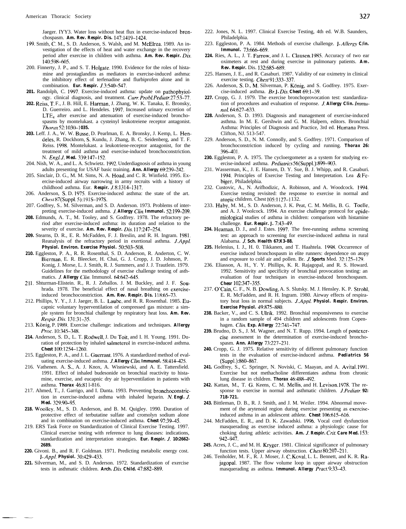Jaeger. IYY3. Water loss without heat flux in exercise-induced bronchospasm. *Am. Rev. Respir. Dis.* 147:1419-1424.

- 199. Smith, C. M., S. D. Anderson, S. Walsh, and M. McElrea. 1989. An investigation of the effects of heat and water exchange in the recovery period after exercise in children with asthma. *Am. Rev. Respir. Dis.* 14O:S98\_6OS.
- 200. Finnerty, J. P., and S. T. Holgate. 1990. Evidence for the roles of histamine and prostaglandins as mediators in exercise-induced asthma: the inhibitory effect of terfenadine and flurbiprofen alone and in combination. **Eur. Respir.** J.3:540-547.
- *201.* Randolph, C. 1997. Exercise-induced asthma: update on pathophyiology. clinical diagnosis, and treatment. Curr. Prohl. *Pediatr. 27:53-77.*
- *202.* Reiss,T. F., J. B. Hill, E. Harman, J. Zhang, W. K. Tanaka, E. Bronsky, D. Guerreiro. and L. Hendeles. 19Y7. Increased urinary excretion of LTE, after exercise and attenuation of exercise-induced bronchospasms by montelukast. a cysteinyl leukotreiene receptor antagonist. *Thorux 52:103&l 035.*
- *203.* Leff. J. A., W. W. Busse, D. Pearlman, E. A. Bronsky, J. Kemp, L. Hendeles, R. Dockhorn, S. Kundu, J. Zhang, B. C. Seidenberg, and T. F. Reiss. 1998. Montelukast. a leukotriene-receptor antagonist, for the treatment of mild asthma and exercise-induced bronchoconstriction. N. *Engl. .I. Med.* 339:147-152.
- 204. Nish, W. A., and L. A. Schwietz. 1992. Underdiagnosis of asthma in young adults presenting for USAF basic training. *Ann. Allergy* 69239-242.
- 205. Sinclair, D. G., M. M. Sims, N. A. Hoad. and C. R. Winfield. 1995. Exercise-induced airway narrowing in army recruits with a history of childhood asthma. Eur. **Respir.** J.8:1314-1317.
- 206. Anderson, S. D. 1975. Exercise-induced asthma: the state of the art. *Chest* 87(Suppl. 5):191S-197S.
- 207. Godfrey, S.. M. Silverman, and S. D. Anderson. 1973. Problems of interpreting exercise-induced asthma. *J. Allergy Clin. Immunol.* 52:199-209.
- *208.* Edmunds, A. T., M. Tooley, and S. Godfrey. 1978. The refractory period after exercise-induced asthma: its duration and relation to the severity of exercise. *Am. Rev. Respir. Dis.* 117:247-254.
- *209.* Stearns, D. R., E. R. McFadden, F. J. Breslin, and R. H. Ingram. 1981. Reanalysis of the refractory period in exertional asthma. J. *Appl.* Physiol. Environ. Exercise Physiol. 50:503-508.
- *210.* Eggleston, P. A., R. R. Rosenthal, S. D. Anderson, R. Anderton, C. W. Bierman, E. R. Bleecker, H. Chai, G. J. Cropp, J. D. Johnson, P. Konig, J. Morse, L. J. Smith, R. J. Summers, and J. J. Trautlein. 1979. Guidelines for the methodology of exercise challenge testing of asthmatics. *J. Allergy Clin.* Immunol. 64:642-645.
- 211. Shturman-Elistein. R., R. J. Zeballos. J. M. Buckley, and J. F. Souhrada. 1978. The beneficial effect of nasal breathing on exerciseinduced bronchoconstriction. *Am. Rev. Respir. Dis.* 118:65-73.
- 212. Phillips, Y. Y., J. J. Jaeger, B. L. Laube. and R. R. Rosenthal. 1985. Eucapnic voluntary hyperventilation of compressed gas mixture: a simple system for bronchial challenge by respiratory heat loss. *Am. Rev. Rrspir. Dis.* 131:31-35.
- 213. KGnig. P. lY8Y. Exercise challenge: indications and techniques. *Allergy Proc. IO:345-348.*
- *214.* Anderson, S. D., L. T. Rodwell, J. Du Toit, and I. H. Young. 1991. Duration of protection by inhaled salmeterol in exercise-induced asthma. *Chest* 100:1254-1260.
- 215. Eggleston, P. A., and J. L. Guerrant. 1976. A standardized method of evaluating exercise-induced asthma. *J. Allergy Clin. Immunol.* 58:414-425.
- 216. Vathenen. A. S.. A. J. Knox, A. Wisniewski, and A. E. Tattersfield. 1991. Effect of inhaled budesonide on bronchial reactivity to histamine, exercise, and eucapnic dry air hyperventilation in patients with asthma. *Thorax 46:81* l-816.
- 217. Ahmed, T., J. Garrigo, and I. Danta. 1993. Preventing bronchoconstriction in exercise-induced asthma with inhaled heparin. N. *Engl. J. Med. 32Y:YO-95.*
- *218.* Woolley, M., S. D. Anderson, and B. M. Quigley. 1990. Duration of protective effect of terbutatine sulfate and cromolyn sodium alone and in combination on exercise-induced asthma. *Chest* 97:39-45.
- 219. ERS Task Force on Standardization of Clinical Exercise Testing. 1997. Clinical exercise testing with reference to lung diseases: indications, standardization and interpretation strategies. *Eur. Respir. J. 10:2662- 2689.*
- *220.* Givoni. B., and R. F. Goldman. 1971. Predicting metabolic energy cost. *J. Appl. Physiol. 30:429-433.*
- *221.* Silverman, M., and S. D. Anderson. 1972. Standardization of exercise tests in asthmatic children. *Arch. Div. Child. 47:882-889.*

--

- 222. Jones, N. L. 1997. Clinical Exercise Testing, 4th ed. W.B. Saunders, **Philadelphia**
- 223. Eggleston, P. A. 1984. Methods of exercise challenge. J. Allergy C/in. *Immunol. 73~666-669.*
- *224.* Ries, A. L., J. T. Farrow, and J. L. Clausen. 1985. Accuracy of two ear oximeters at rest and during exercise in pulmonary patients. *Am.* **Rev. Respir.** Dis. 132:685-689.
- 225. Hansen, J. E., and R. Casaburi. 1987. Validity of ear oximetry in clinical exercise testing. *Chest* 91:333-337.
- 226. Anderson, S. D., M. Silverman, P. König, and S. Godfrey. 1975. Exercise-induced asthma. *Br. J. Dis. Chest 69:1-39.*
- *227.* Cropp, G. J. 1979. The exercise bronchoprovocation test: standardization of procedures and evaluation of response. *J. Allergy Clin. Immunol. 64~627-633.*
- *228.* Anderson, S. D. 1993. Diagnosis and management of exercise-induced asthma. In M. E. Gershwin and G. M. Halpern, editors. Bronchial Asthma: Principles of Diagnosis and Practice, 3rd ed. Humana Press. Clifton, NJ. 513-547.
- 229. Anderson, S. D., N. M. Connolly, and S. Godfrey. 1971. Comparison of bronchoconstriction induced by cycling and running. *Thorax 26: 396-401.*
- *230.* Eggleston, P. A. 1975. The cycloergometer as a system for studying exercise-induced asthma. Pediarrics 56(Suppl.):899-903.
- 231. Wasserman, K., J. E. Hansen, D. Y. Sue, B. J. Whipp, and R. Casaburi. 1994. Principles of Exercise Testing and Interpretation. Lea & Febiger, Philadelphia.
- 232. Custovic, A., N. Arifhodizic, A. Robinson, and A. Woodcock. 1994. Exercise testing revisited: the response to exercise in normal and atopic children. Chest 105:1127-l 132.
- 233. Haby, M. M., S. D. Anderson, J. K. Peat, C. M. Mellis, B. G. Toelle, and A. J. Woolcock. 1994. An exercise challenge protocol for epidemiological studies of asthma in children: comparison with histamine challenge. **Eur. Respir. J.** 7:43-49.
- *234.* Heaman, D. J., and J. Estes. 1997. The free-running asthma screening test: an approach to screening for exercise-induced asthma in rural Alabama. *J. Sch. Health 67:X3-88.*
- 235. Helenius, I. J., H. O. Tikkanen, and T. Haahtela. 1998. Occurrence of exercise induced bronchospasm in elite runners: dependence on atopy and exposure to cold air and pollen. Br. *J. Sports* Med. 32:125-129.
- 236. Eliasson, A. H., Y. Y. Phillips, K. R. Rajagopal, and R. S. Howard. 1992. Sensitivity and specificity of bronchial provocation testing: an evaluation of four techniques in exercise-induced bronchospasm. *Chesr* 102:347-355.
- 237. O'Cain, C. F., N. B. Dowling, A. S. Slutsky. M. J. Hensley. K. P. Strohl, E. R. McFadden, and R. H. Ingram. 1980. Airway effects of respiratory heat loss in normal subjects. *J. Appl. Physiol. Respir. Environ. Exercise Physiol. 49:875-880.*
- *238.* Backer, V., and C. S. UIrik. 1992. Bronchial responsiveness to exercise in a random sample of 494 children and adolescents from Copenhagen. *Clin. Exp. Allergy 22741-747.*
- *239.* Brudno, D. S., J. M. Wagner, and N. T. Rupp. 1994. Length of postexercise assessment in the determination of exercise-induced bronchospasm. *Ann. Allergy 73:227-231.*
- *240.* Cropp, G. J. 1975. Relative sensitivity of different pulmonary function tests in the evaluation of exercise-induced asthma. *Pediatrics 56 (Suppl.):860-867.*
- 241. Godfrey, S., C. Springer, N. Noviski, C. Maayan, and A. Avital. 1991. Exercise but not methacholine differentiates asthma from chronic lung disease in children. **Thorax** 46:488-492.
- *242.* Kattan, M., T. G. Keens, C. M. Mellis, and H. Levison. lY7X. The response to exercise in normal and asthmatic children. *J. Pediarr. 92: 718-721.*
- *243.* Bittleman, D. B., R. J. Smith, and J. M. Weiler. 1994. Abnormal movement of the arytenoid region during exercise presenting as exerciseinduced asthma in an adolescent athlete. *Chest* 106:615-616.
- 244. McFadden, E. R., and D. K. Zawadski. 1996. Vocal cord dysfunction masquerading as exercise induced asthma: a physiologic cause for choking during athletic activities. *Am. J. Respir. Crif. Care Med. 153: 942-947.*
- *245.* Acres, J. C., and M. H. Kryger. 1981. Clinical significance of pulmonary function tests. Upper airway obstruction. *Chesr* 80:207-211.
- 246. Tenholder, M. F., R. J. Moser, J. C. Koval, L. L. Bennett, and K. R. Rajagopal. 1987. The flow volume loop in upper airway obstruction masquerading as asthma. **Immunol. Allergy** Pract. 9:33-43.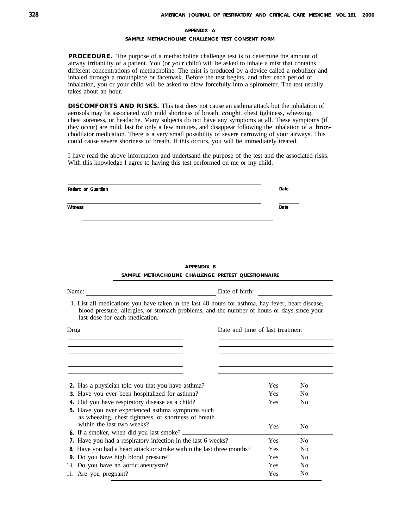#### **SAMPLE METHACHOLINE CHALLENGE TEST CONSENT FORM**

**PROCEDURE.** The purpose of a methacholine challenge test is to determine the amount of airway irritability of a patient. You (or your child) will be asked to inhale a mist that contains different concentrations of methacholine. The mist is produced by a device called a nebulizer and inhaled through a mouthpiece or facemask. Before the test begins, and after each period of inhalation, you or your child will be asked to blow forcefully into a spirometer. The test usually takes about an hour.

**DISCOMFORTS AND RISKS.** This test does not cause an asthma attack but the inhalation of aerosols may be associated with mild shortness of breath, caught, chest tightness, wheezing, chest soreness, or headache. Many subjects do not have any symptoms at all. These symptoms (if they occur) are mild, last for only a few minutes, and disappear following the inhalation of a bronchodilator medication. There is a very small possibility of severe narrowing of your airways. This could cause severe shortness of breath. If this occurs, you will be immediately treated.

I have read the above information and undertsand the purpose of the test and the associated risks. With this knowledge I agree to having this test performed on me or my child.

| Patient or Guardian                 |                                                                                                                               | Date       |                |
|-------------------------------------|-------------------------------------------------------------------------------------------------------------------------------|------------|----------------|
| Witness                             |                                                                                                                               | Date       |                |
|                                     |                                                                                                                               |            |                |
|                                     |                                                                                                                               |            |                |
|                                     |                                                                                                                               |            |                |
|                                     |                                                                                                                               |            |                |
|                                     | APPENDIX B                                                                                                                    |            |                |
|                                     | SAMPLE METHACHOLINE CHALLENGE PRETEST QUESTIONNAIRE                                                                           |            |                |
|                                     |                                                                                                                               |            |                |
| Name:                               | Date of birth:                                                                                                                |            |                |
| last dose for each medication.      | blood pressure, allergies, or stomach problems, and the number of hours or days since your<br>Date and time of last treatment |            |                |
| Drug                                |                                                                                                                               |            |                |
|                                     |                                                                                                                               |            |                |
|                                     |                                                                                                                               |            |                |
|                                     |                                                                                                                               |            |                |
|                                     |                                                                                                                               |            |                |
|                                     |                                                                                                                               |            |                |
|                                     | 2. Has a physician told you that you have asthma?                                                                             | <b>Yes</b> | Nο             |
|                                     | 3. Have you ever been hospitalized for asthma?                                                                                | Yes        | N <sub>0</sub> |
|                                     | 4. Did you have respiratory disease as a child?                                                                               | Yes        | No             |
|                                     | 5. Have you ever experienced asthma symptoms such                                                                             |            |                |
|                                     | as wheezing, chest tightness, or shortness of breath                                                                          |            |                |
| within the last two weeks?          |                                                                                                                               | Yes        | N <sub>0</sub> |
|                                     | 6. If a smoker, when did you last smoke?                                                                                      | Yes        | No             |
|                                     | 7. Have you had a respiratory infection in the last 6 weeks?                                                                  | Yes        | N <sub>0</sub> |
|                                     | 8. Have you had a heart attack or stroke within the last three months?                                                        | Yes        | N <sub>0</sub> |
| 10. Do you have an aortic aneurysm? | 9. Do you have high blood pressure?                                                                                           | Yes        | N <sub>0</sub> |